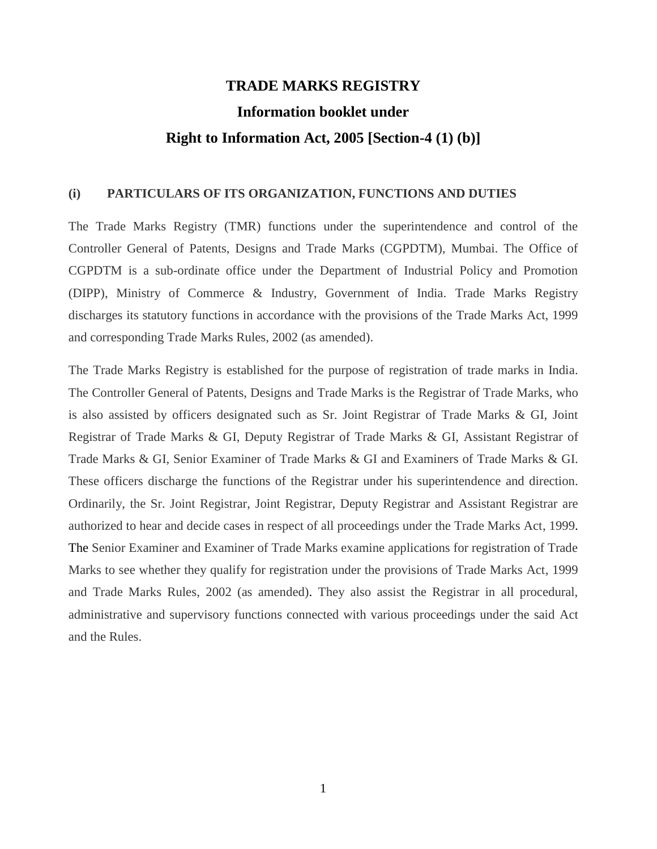# **TRADE MARKS REGISTRY Information booklet under Right to Information Act, 2005 [Section-4 (1) (b)]**

#### **(i) PARTICULARS OF ITS ORGANIZATION, FUNCTIONS AND DUTIES**

The Trade Marks Registry (TMR) functions under the superintendence and control of the Controller General of Patents, Designs and Trade Marks (CGPDTM), Mumbai. The Office of CGPDTM is a sub-ordinate office under the Department of Industrial Policy and Promotion (DIPP), Ministry of Commerce & Industry, Government of India. Trade Marks Registry discharges its statutory functions in accordance with the provisions of the Trade Marks Act, 1999 and corresponding Trade Marks Rules, 2002 (as amended).

The Trade Marks Registry is established for the purpose of registration of trade marks in India. The Controller General of Patents, Designs and Trade Marks is the Registrar of Trade Marks, who is also assisted by officers designated such as Sr. Joint Registrar of Trade Marks & GI, Joint Registrar of Trade Marks & GI, Deputy Registrar of Trade Marks & GI, Assistant Registrar of Trade Marks & GI, Senior Examiner of Trade Marks & GI and Examiners of Trade Marks & GI. These officers discharge the functions of the Registrar under his superintendence and direction. Ordinarily, the Sr. Joint Registrar, Joint Registrar, Deputy Registrar and Assistant Registrar are authorized to hear and decide cases in respect of all proceedings under the Trade Marks Act, 1999. The Senior Examiner and Examiner of Trade Marks examine applications for registration of Trade Marks to see whether they qualify for registration under the provisions of Trade Marks Act, 1999 and Trade Marks Rules, 2002 (as amended). They also assist the Registrar in all procedural, administrative and supervisory functions connected with various proceedings under the said Act and the Rules.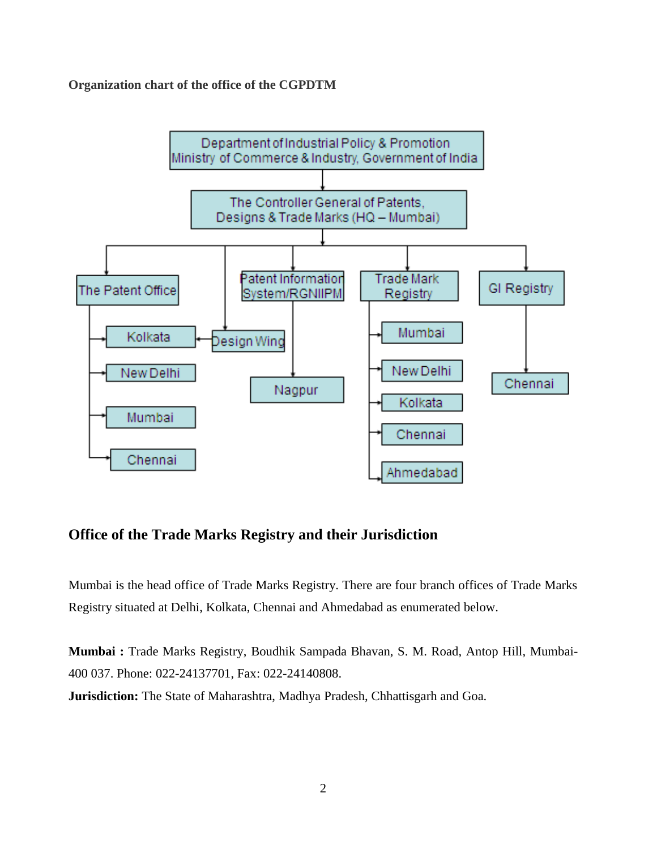**Organization chart of the office of the CGPDTM** 



## **Office of the Trade Marks Registry and their Jurisdiction**

Mumbai is the head office of Trade Marks Registry. There are four branch offices of Trade Marks Registry situated at Delhi, Kolkata, Chennai and Ahmedabad as enumerated below.

**Mumbai :** Trade Marks Registry, Boudhik Sampada Bhavan, S. M. Road, Antop Hill, Mumbai-400 037. Phone: 022-24137701, Fax: 022-24140808.

**Jurisdiction:** The State of Maharashtra, Madhya Pradesh, Chhattisgarh and Goa.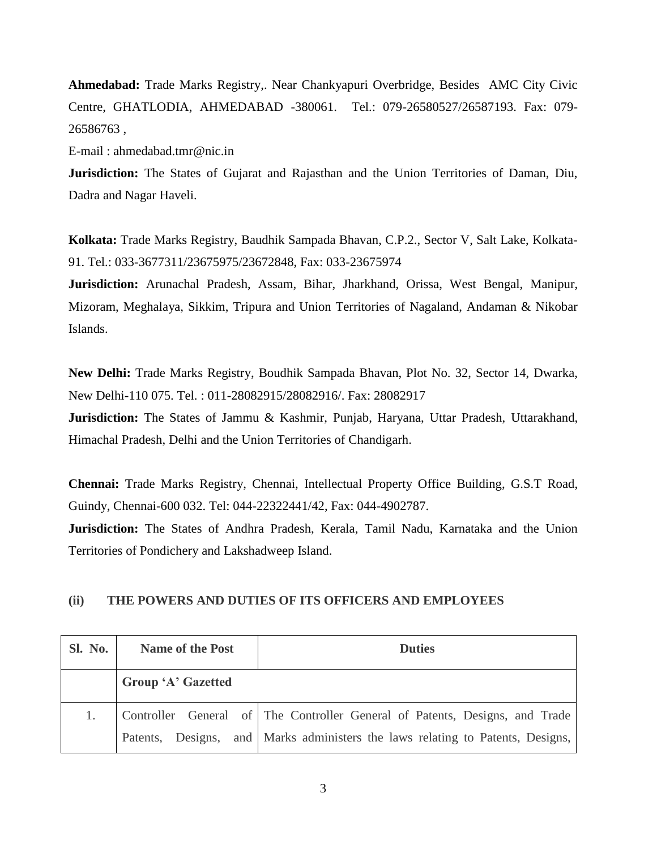**Ahmedabad:** Trade Marks Registry,. Near Chankyapuri Overbridge, Besides AMC City Civic Centre, GHATLODIA, AHMEDABAD -380061. Tel.: 079-26580527/26587193. Fax: 079- 26586763 ,

E-mail : ahmedabad.tmr@nic.in

**Jurisdiction:** The States of Gujarat and Rajasthan and the Union Territories of Daman, Diu, Dadra and Nagar Haveli.

**Kolkata:** Trade Marks Registry, Baudhik Sampada Bhavan, C.P.2., Sector V, Salt Lake, Kolkata-91. Tel.: 033-3677311/23675975/23672848, Fax: 033-23675974

**Jurisdiction:** Arunachal Pradesh, Assam, Bihar, Jharkhand, Orissa, West Bengal, Manipur, Mizoram, Meghalaya, Sikkim, Tripura and Union Territories of Nagaland, Andaman & Nikobar Islands.

**New Delhi:** Trade Marks Registry, Boudhik Sampada Bhavan, Plot No. 32, Sector 14, Dwarka, New Delhi-110 075. Tel. : 011-28082915/28082916/. Fax: 28082917

**Jurisdiction:** The States of Jammu & Kashmir, Punjab, Haryana, Uttar Pradesh, Uttarakhand, Himachal Pradesh, Delhi and the Union Territories of Chandigarh.

**Chennai:** Trade Marks Registry, Chennai, Intellectual Property Office Building, G.S.T Road, Guindy, Chennai-600 032. Tel: 044-22322441/42, Fax: 044-4902787.

**Jurisdiction:** The States of Andhra Pradesh, Kerala, Tamil Nadu, Karnataka and the Union Territories of Pondichery and Lakshadweep Island.

#### **(ii) THE POWERS AND DUTIES OF ITS OFFICERS AND EMPLOYEES**

| Sl. No. | <b>Name of the Post</b>   | <b>Duties</b>                                                               |  |
|---------|---------------------------|-----------------------------------------------------------------------------|--|
|         | <b>Group 'A' Gazetted</b> |                                                                             |  |
|         |                           | Controller General of The Controller General of Patents, Designs, and Trade |  |
|         | Patents,                  | Designs, and Marks administers the laws relating to Patents, Designs,       |  |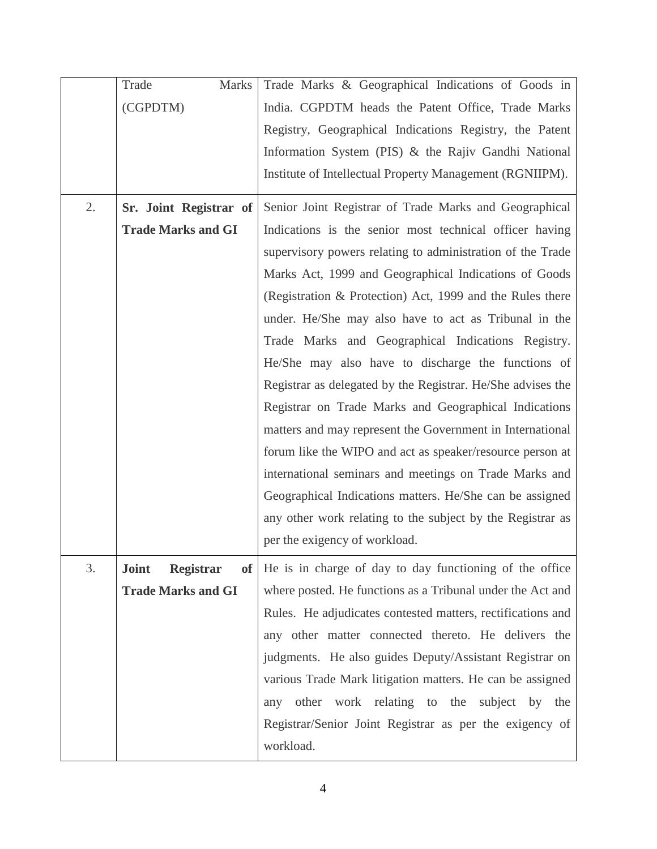|    | <b>Marks</b><br>Trade            | Trade Marks & Geographical Indications of Goods in           |  |  |
|----|----------------------------------|--------------------------------------------------------------|--|--|
|    | (CGPDTM)                         | India. CGPDTM heads the Patent Office, Trade Marks           |  |  |
|    |                                  | Registry, Geographical Indications Registry, the Patent      |  |  |
|    |                                  | Information System (PIS) & the Rajiv Gandhi National         |  |  |
|    |                                  | Institute of Intellectual Property Management (RGNIIPM).     |  |  |
|    |                                  |                                                              |  |  |
| 2. | Sr. Joint Registrar of           | Senior Joint Registrar of Trade Marks and Geographical       |  |  |
|    | <b>Trade Marks and GI</b>        | Indications is the senior most technical officer having      |  |  |
|    |                                  | supervisory powers relating to administration of the Trade   |  |  |
|    |                                  | Marks Act, 1999 and Geographical Indications of Goods        |  |  |
|    |                                  | (Registration & Protection) Act, 1999 and the Rules there    |  |  |
|    |                                  | under. He/She may also have to act as Tribunal in the        |  |  |
|    |                                  | Trade Marks and Geographical Indications Registry.           |  |  |
|    |                                  | He/She may also have to discharge the functions of           |  |  |
|    |                                  | Registrar as delegated by the Registrar. He/She advises the  |  |  |
|    |                                  | Registrar on Trade Marks and Geographical Indications        |  |  |
|    |                                  | matters and may represent the Government in International    |  |  |
|    |                                  | forum like the WIPO and act as speaker/resource person at    |  |  |
|    |                                  | international seminars and meetings on Trade Marks and       |  |  |
|    |                                  | Geographical Indications matters. He/She can be assigned     |  |  |
|    |                                  | any other work relating to the subject by the Registrar as   |  |  |
|    |                                  | per the exigency of workload.                                |  |  |
|    |                                  |                                                              |  |  |
| 3. | <b>Joint</b><br><b>Registrar</b> | of   He is in charge of day to day functioning of the office |  |  |
|    | <b>Trade Marks and GI</b>        | where posted. He functions as a Tribunal under the Act and   |  |  |
|    |                                  | Rules. He adjudicates contested matters, rectifications and  |  |  |
|    |                                  | any other matter connected thereto. He delivers the          |  |  |
|    |                                  | judgments. He also guides Deputy/Assistant Registrar on      |  |  |
|    |                                  | various Trade Mark litigation matters. He can be assigned    |  |  |
|    |                                  | any other work relating to the subject by the                |  |  |
|    |                                  | Registrar/Senior Joint Registrar as per the exigency of      |  |  |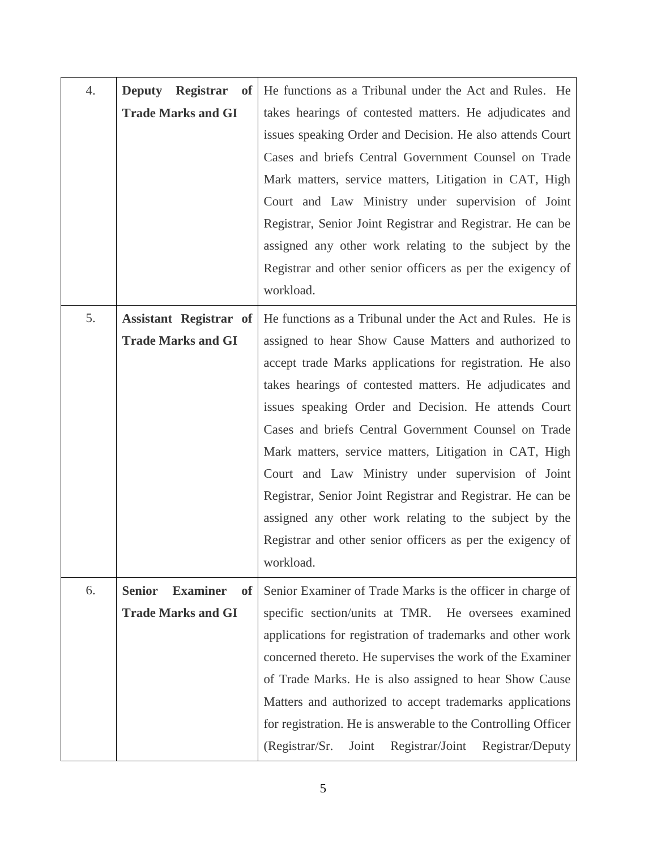| 4. | <b>Deputy</b>                                 | <b>Registrar</b> of He functions as a Tribunal under the Act and Rules. He |  |  |
|----|-----------------------------------------------|----------------------------------------------------------------------------|--|--|
|    | <b>Trade Marks and GI</b>                     | takes hearings of contested matters. He adjudicates and                    |  |  |
|    |                                               | issues speaking Order and Decision. He also attends Court                  |  |  |
|    |                                               | Cases and briefs Central Government Counsel on Trade                       |  |  |
|    |                                               | Mark matters, service matters, Litigation in CAT, High                     |  |  |
|    |                                               | Court and Law Ministry under supervision of Joint                          |  |  |
|    |                                               | Registrar, Senior Joint Registrar and Registrar. He can be                 |  |  |
|    |                                               | assigned any other work relating to the subject by the                     |  |  |
|    |                                               | Registrar and other senior officers as per the exigency of                 |  |  |
|    |                                               | workload.                                                                  |  |  |
| 5. | <b>Assistant Registrar of</b>                 | He functions as a Tribunal under the Act and Rules. He is                  |  |  |
|    | <b>Trade Marks and GI</b>                     | assigned to hear Show Cause Matters and authorized to                      |  |  |
|    |                                               | accept trade Marks applications for registration. He also                  |  |  |
|    |                                               | takes hearings of contested matters. He adjudicates and                    |  |  |
|    |                                               | issues speaking Order and Decision. He attends Court                       |  |  |
|    |                                               | Cases and briefs Central Government Counsel on Trade                       |  |  |
|    |                                               | Mark matters, service matters, Litigation in CAT, High                     |  |  |
|    |                                               | Court and Law Ministry under supervision of Joint                          |  |  |
|    |                                               | Registrar, Senior Joint Registrar and Registrar. He can be                 |  |  |
|    |                                               | assigned any other work relating to the subject by the                     |  |  |
|    |                                               | Registrar and other senior officers as per the exigency of                 |  |  |
|    |                                               | workload.                                                                  |  |  |
| 6. | <b>Examiner</b><br><b>Senior</b><br><b>of</b> | Senior Examiner of Trade Marks is the officer in charge of                 |  |  |
|    | <b>Trade Marks and GI</b>                     | specific section/units at TMR. He oversees examined                        |  |  |
|    |                                               | applications for registration of trademarks and other work                 |  |  |
|    |                                               | concerned thereto. He supervises the work of the Examiner                  |  |  |
|    |                                               | of Trade Marks. He is also assigned to hear Show Cause                     |  |  |
|    |                                               | Matters and authorized to accept trademarks applications                   |  |  |
|    |                                               | for registration. He is answerable to the Controlling Officer              |  |  |
|    |                                               | (Registrar/Sr.<br>Registrar/Joint<br>Registrar/Deputy<br>Joint             |  |  |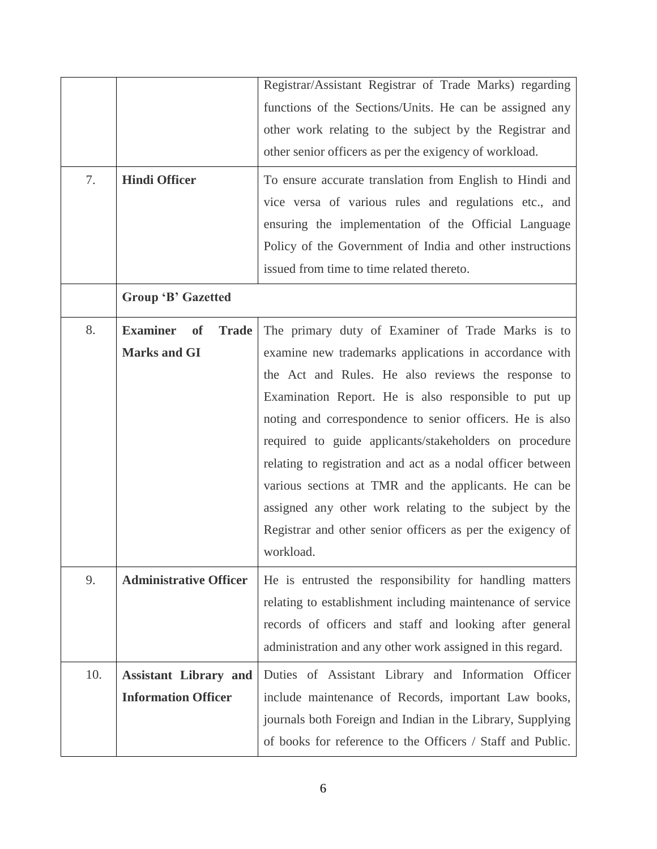| 7.  | Registrar/Assistant Registrar of Trade Marks) regarding<br>functions of the Sections/Units. He can be assigned any<br>other work relating to the subject by the Registrar and<br>other senior officers as per the exigency of workload.<br><b>Hindi Officer</b><br>To ensure accurate translation from English to Hindi and<br>vice versa of various rules and regulations etc., and<br>ensuring the implementation of the Official Language<br>Policy of the Government of India and other instructions<br>issued from time to time related thereto.<br>Group 'B' Gazetted |                                                                                                                                                                                                                                                                                                                                                                                                                                                                                                                                                                                                 |  |
|-----|-----------------------------------------------------------------------------------------------------------------------------------------------------------------------------------------------------------------------------------------------------------------------------------------------------------------------------------------------------------------------------------------------------------------------------------------------------------------------------------------------------------------------------------------------------------------------------|-------------------------------------------------------------------------------------------------------------------------------------------------------------------------------------------------------------------------------------------------------------------------------------------------------------------------------------------------------------------------------------------------------------------------------------------------------------------------------------------------------------------------------------------------------------------------------------------------|--|
| 8.  | <b>Examiner</b><br><b>Trade</b><br><b>of</b><br><b>Marks and GI</b>                                                                                                                                                                                                                                                                                                                                                                                                                                                                                                         | The primary duty of Examiner of Trade Marks is to<br>examine new trademarks applications in accordance with<br>the Act and Rules. He also reviews the response to<br>Examination Report. He is also responsible to put up<br>noting and correspondence to senior officers. He is also<br>required to guide applicants/stakeholders on procedure<br>relating to registration and act as a nodal officer between<br>various sections at TMR and the applicants. He can be<br>assigned any other work relating to the subject by the<br>Registrar and other senior officers as per the exigency of |  |
| 9.  | <b>Administrative Officer</b>                                                                                                                                                                                                                                                                                                                                                                                                                                                                                                                                               | workload.<br>He is entrusted the responsibility for handling matters<br>relating to establishment including maintenance of service<br>records of officers and staff and looking after general<br>administration and any other work assigned in this regard.                                                                                                                                                                                                                                                                                                                                     |  |
| 10. | <b>Assistant Library and</b><br><b>Information Officer</b>                                                                                                                                                                                                                                                                                                                                                                                                                                                                                                                  | Duties of Assistant Library and Information Officer<br>include maintenance of Records, important Law books,<br>journals both Foreign and Indian in the Library, Supplying<br>of books for reference to the Officers / Staff and Public.                                                                                                                                                                                                                                                                                                                                                         |  |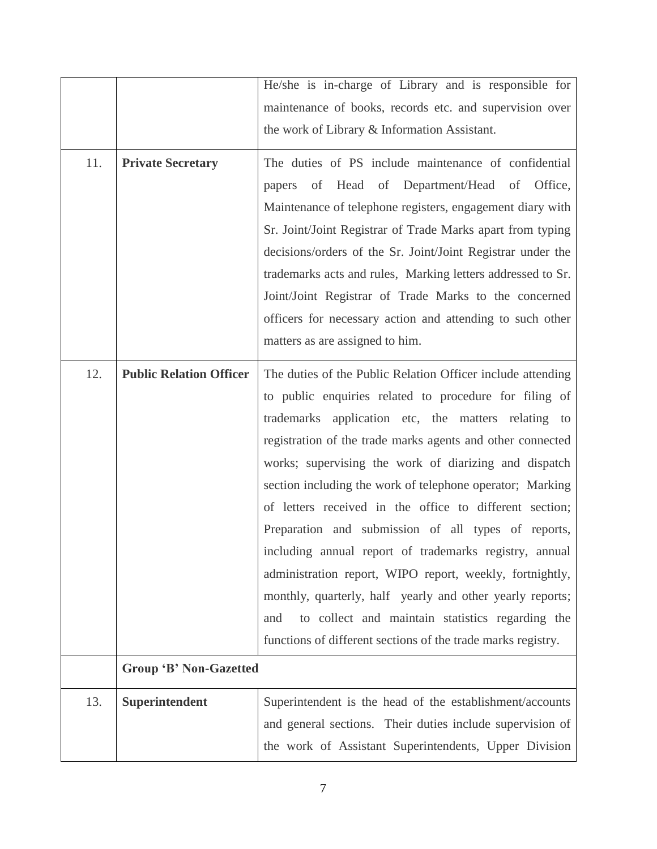|     |                                | He/she is in-charge of Library and is responsible for        |  |  |
|-----|--------------------------------|--------------------------------------------------------------|--|--|
|     |                                | maintenance of books, records etc. and supervision over      |  |  |
|     |                                | the work of Library & Information Assistant.                 |  |  |
|     |                                |                                                              |  |  |
| 11. | <b>Private Secretary</b>       | The duties of PS include maintenance of confidential         |  |  |
|     |                                | Head<br>of Department/Head of Office,<br>of<br>papers        |  |  |
|     |                                | Maintenance of telephone registers, engagement diary with    |  |  |
|     |                                | Sr. Joint/Joint Registrar of Trade Marks apart from typing   |  |  |
|     |                                | decisions/orders of the Sr. Joint/Joint Registrar under the  |  |  |
|     |                                | trademarks acts and rules, Marking letters addressed to Sr.  |  |  |
|     |                                | Joint/Joint Registrar of Trade Marks to the concerned        |  |  |
|     |                                | officers for necessary action and attending to such other    |  |  |
|     |                                | matters as are assigned to him.                              |  |  |
|     |                                |                                                              |  |  |
| 12. | <b>Public Relation Officer</b> | The duties of the Public Relation Officer include attending  |  |  |
|     |                                | to public enquiries related to procedure for filing of       |  |  |
|     |                                | trademarks application etc, the matters relating to          |  |  |
|     |                                | registration of the trade marks agents and other connected   |  |  |
|     |                                | works; supervising the work of diarizing and dispatch        |  |  |
|     |                                | section including the work of telephone operator; Marking    |  |  |
|     |                                | of letters received in the office to different section;      |  |  |
|     |                                | Preparation and submission of all types of reports,          |  |  |
|     |                                | including annual report of trademarks registry, annual       |  |  |
|     |                                | administration report, WIPO report, weekly, fortnightly,     |  |  |
|     |                                | monthly, quarterly, half yearly and other yearly reports;    |  |  |
|     |                                | to collect and maintain statistics regarding the<br>and      |  |  |
|     |                                | functions of different sections of the trade marks registry. |  |  |
|     | <b>Group 'B' Non-Gazetted</b>  |                                                              |  |  |
|     |                                |                                                              |  |  |
| 13. | Superintendent                 | Superintendent is the head of the establishment/accounts     |  |  |
|     |                                | and general sections. Their duties include supervision of    |  |  |
|     |                                | the work of Assistant Superintendents, Upper Division        |  |  |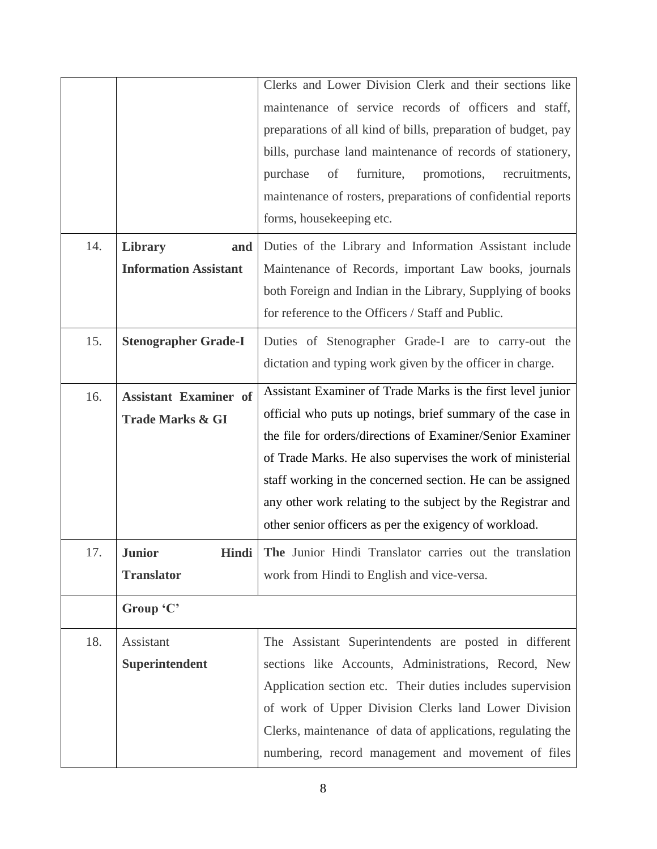|     |                              | Clerks and Lower Division Clerk and their sections like              |  |  |  |
|-----|------------------------------|----------------------------------------------------------------------|--|--|--|
|     |                              | maintenance of service records of officers and staff,                |  |  |  |
|     |                              | preparations of all kind of bills, preparation of budget, pay        |  |  |  |
|     |                              | bills, purchase land maintenance of records of stationery,           |  |  |  |
|     |                              | furniture,<br>of<br>promotions,<br>purchase<br>recruitments,         |  |  |  |
|     |                              | maintenance of rosters, preparations of confidential reports         |  |  |  |
|     |                              | forms, housekeeping etc.                                             |  |  |  |
|     |                              |                                                                      |  |  |  |
| 14. | Library<br>and               | Duties of the Library and Information Assistant include              |  |  |  |
|     | <b>Information Assistant</b> | Maintenance of Records, important Law books, journals                |  |  |  |
|     |                              | both Foreign and Indian in the Library, Supplying of books           |  |  |  |
|     |                              | for reference to the Officers / Staff and Public.                    |  |  |  |
| 15. | <b>Stenographer Grade-I</b>  | Duties of Stenographer Grade-I are to carry-out the                  |  |  |  |
|     |                              | dictation and typing work given by the officer in charge.            |  |  |  |
|     |                              | Assistant Examiner of Trade Marks is the first level junior          |  |  |  |
| 16. | <b>Assistant Examiner of</b> | official who puts up notings, brief summary of the case in           |  |  |  |
|     | <b>Trade Marks &amp; GI</b>  |                                                                      |  |  |  |
|     |                              | the file for orders/directions of Examiner/Senior Examiner           |  |  |  |
|     |                              | of Trade Marks. He also supervises the work of ministerial           |  |  |  |
|     |                              |                                                                      |  |  |  |
|     |                              | staff working in the concerned section. He can be assigned           |  |  |  |
|     |                              | any other work relating to the subject by the Registrar and          |  |  |  |
|     |                              | other senior officers as per the exigency of workload.               |  |  |  |
| 17. | <b>Junior</b>                | <b>Hindi</b> The Junior Hindi Translator carries out the translation |  |  |  |
|     | <b>Translator</b>            | work from Hindi to English and vice-versa.                           |  |  |  |
|     | Group 'C'                    |                                                                      |  |  |  |
| 18. | Assistant                    | The Assistant Superintendents are posted in different                |  |  |  |
|     | Superintendent               | sections like Accounts, Administrations, Record, New                 |  |  |  |
|     |                              | Application section etc. Their duties includes supervision           |  |  |  |
|     |                              | of work of Upper Division Clerks land Lower Division                 |  |  |  |
|     |                              | Clerks, maintenance of data of applications, regulating the          |  |  |  |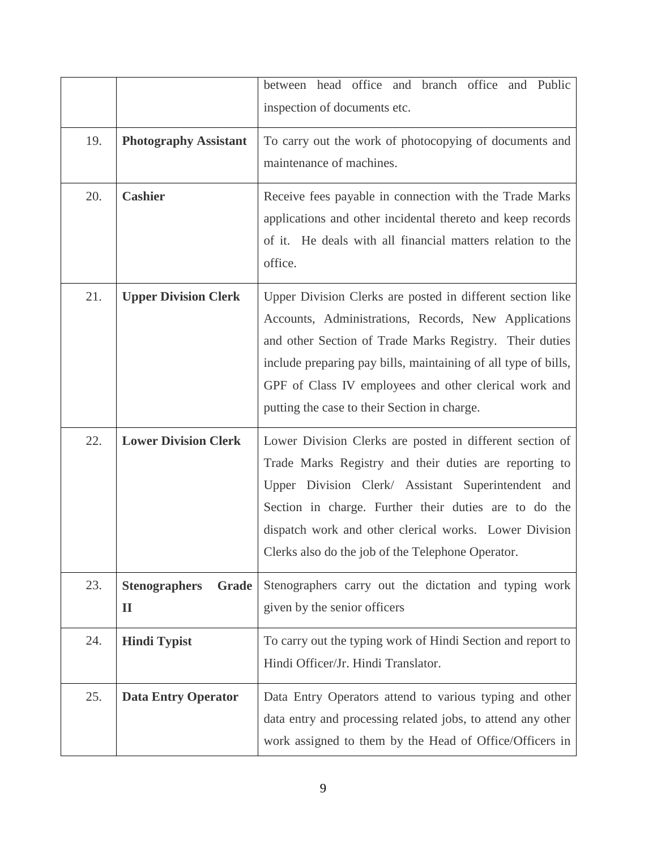|     |                                               | between head office and branch office and Public<br>inspection of documents etc.                                                                                                                                                                                                                                                                         |  |
|-----|-----------------------------------------------|----------------------------------------------------------------------------------------------------------------------------------------------------------------------------------------------------------------------------------------------------------------------------------------------------------------------------------------------------------|--|
| 19. | <b>Photography Assistant</b>                  | To carry out the work of photocopying of documents and<br>maintenance of machines.                                                                                                                                                                                                                                                                       |  |
| 20. | <b>Cashier</b>                                | Receive fees payable in connection with the Trade Marks<br>applications and other incidental thereto and keep records<br>of it. He deals with all financial matters relation to the<br>office.                                                                                                                                                           |  |
| 21. | <b>Upper Division Clerk</b>                   | Upper Division Clerks are posted in different section like<br>Accounts, Administrations, Records, New Applications<br>and other Section of Trade Marks Registry. Their duties<br>include preparing pay bills, maintaining of all type of bills,<br>GPF of Class IV employees and other clerical work and<br>putting the case to their Section in charge. |  |
| 22. | <b>Lower Division Clerk</b>                   | Lower Division Clerks are posted in different section of<br>Trade Marks Registry and their duties are reporting to<br>Upper Division Clerk/ Assistant Superintendent and<br>Section in charge. Further their duties are to do the<br>dispatch work and other clerical works. Lower Division<br>Clerks also do the job of the Telephone Operator.         |  |
| 23. | Grade<br><b>Stenographers</b><br>$\mathbf{I}$ | Stenographers carry out the dictation and typing work<br>given by the senior officers                                                                                                                                                                                                                                                                    |  |
| 24. | <b>Hindi Typist</b>                           | To carry out the typing work of Hindi Section and report to<br>Hindi Officer/Jr. Hindi Translator.                                                                                                                                                                                                                                                       |  |
| 25. | <b>Data Entry Operator</b>                    | Data Entry Operators attend to various typing and other<br>data entry and processing related jobs, to attend any other<br>work assigned to them by the Head of Office/Officers in                                                                                                                                                                        |  |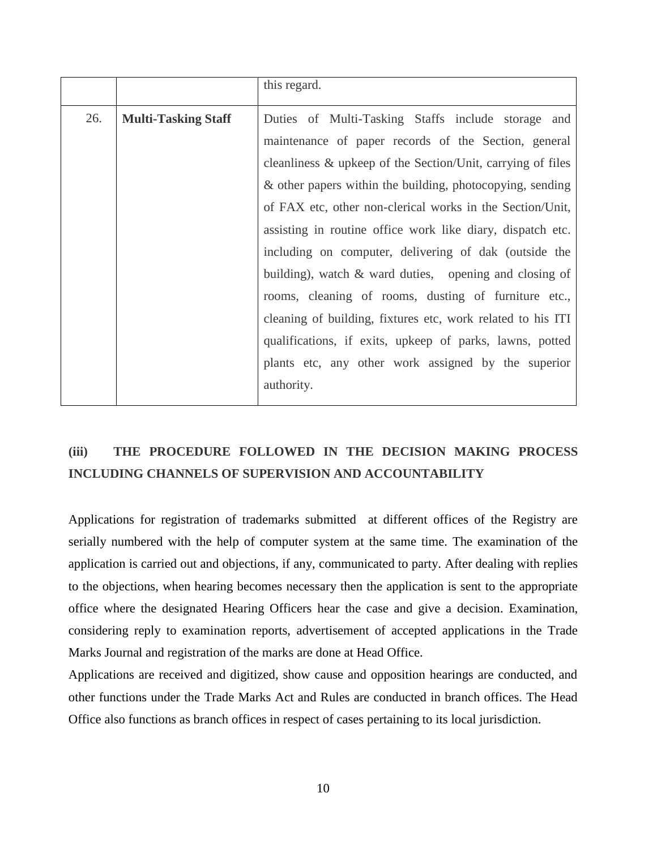|     |                            | this regard.                                                   |  |  |
|-----|----------------------------|----------------------------------------------------------------|--|--|
| 26. | <b>Multi-Tasking Staff</b> | Duties of Multi-Tasking Staffs include storage and             |  |  |
|     |                            | maintenance of paper records of the Section, general           |  |  |
|     |                            | cleanliness $\&$ upkeep of the Section/Unit, carrying of files |  |  |
|     |                            | & other papers within the building, photocopying, sending      |  |  |
|     |                            | of FAX etc, other non-clerical works in the Section/Unit,      |  |  |
|     |                            | assisting in routine office work like diary, dispatch etc.     |  |  |
|     |                            | including on computer, delivering of dak (outside the          |  |  |
|     |                            | building), watch $\&$ ward duties, opening and closing of      |  |  |
|     |                            | rooms, cleaning of rooms, dusting of furniture etc.,           |  |  |
|     |                            | cleaning of building, fixtures etc, work related to his ITI    |  |  |
|     |                            | qualifications, if exits, upkeep of parks, lawns, potted       |  |  |
|     |                            | plants etc, any other work assigned by the superior            |  |  |
|     |                            | authority.                                                     |  |  |
|     |                            |                                                                |  |  |

## **(iii) THE PROCEDURE FOLLOWED IN THE DECISION MAKING PROCESS INCLUDING CHANNELS OF SUPERVISION AND ACCOUNTABILITY**

Applications for registration of trademarks submitted at different offices of the Registry are serially numbered with the help of computer system at the same time. The examination of the application is carried out and objections, if any, communicated to party. After dealing with replies to the objections, when hearing becomes necessary then the application is sent to the appropriate office where the designated Hearing Officers hear the case and give a decision. Examination, considering reply to examination reports, advertisement of accepted applications in the Trade Marks Journal and registration of the marks are done at Head Office.

Applications are received and digitized, show cause and opposition hearings are conducted, and other functions under the Trade Marks Act and Rules are conducted in branch offices. The Head Office also functions as branch offices in respect of cases pertaining to its local jurisdiction.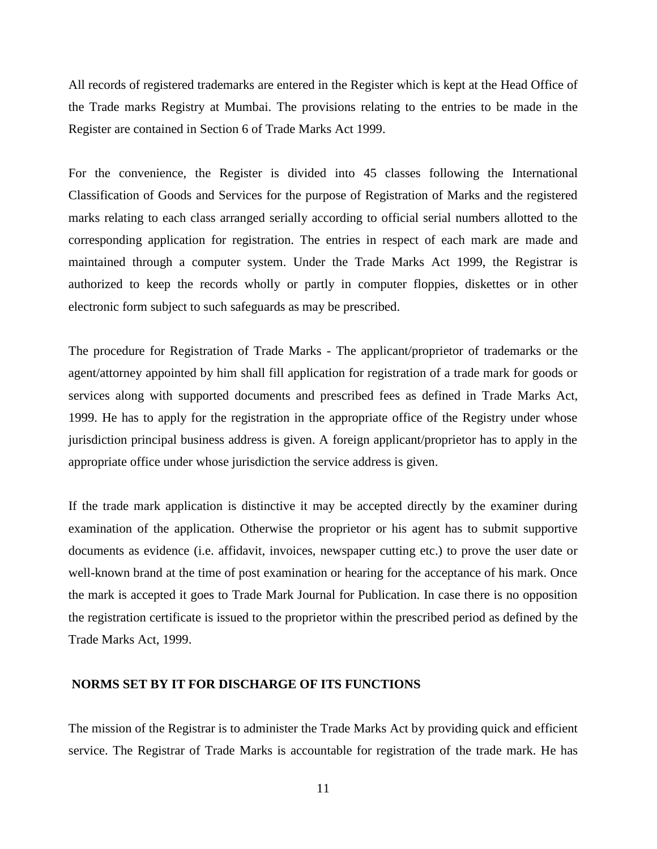All records of registered trademarks are entered in the Register which is kept at the Head Office of the Trade marks Registry at Mumbai. The provisions relating to the entries to be made in the Register are contained in Section 6 of Trade Marks Act 1999.

For the convenience, the Register is divided into 45 classes following the International Classification of Goods and Services for the purpose of Registration of Marks and the registered marks relating to each class arranged serially according to official serial numbers allotted to the corresponding application for registration. The entries in respect of each mark are made and maintained through a computer system. Under the Trade Marks Act 1999, the Registrar is authorized to keep the records wholly or partly in computer floppies, diskettes or in other electronic form subject to such safeguards as may be prescribed.

The procedure for Registration of Trade Marks - The applicant/proprietor of trademarks or the agent/attorney appointed by him shall fill application for registration of a trade mark for goods or services along with supported documents and prescribed fees as defined in Trade Marks Act, 1999. He has to apply for the registration in the appropriate office of the Registry under whose jurisdiction principal business address is given. A foreign applicant/proprietor has to apply in the appropriate office under whose jurisdiction the service address is given.

If the trade mark application is distinctive it may be accepted directly by the examiner during examination of the application. Otherwise the proprietor or his agent has to submit supportive documents as evidence (i.e. affidavit, invoices, newspaper cutting etc.) to prove the user date or well-known brand at the time of post examination or hearing for the acceptance of his mark. Once the mark is accepted it goes to Trade Mark Journal for Publication. In case there is no opposition the registration certificate is issued to the proprietor within the prescribed period as defined by the Trade Marks Act, 1999.

#### **NORMS SET BY IT FOR DISCHARGE OF ITS FUNCTIONS**

The mission of the Registrar is to administer the Trade Marks Act by providing quick and efficient service. The Registrar of Trade Marks is accountable for registration of the trade mark. He has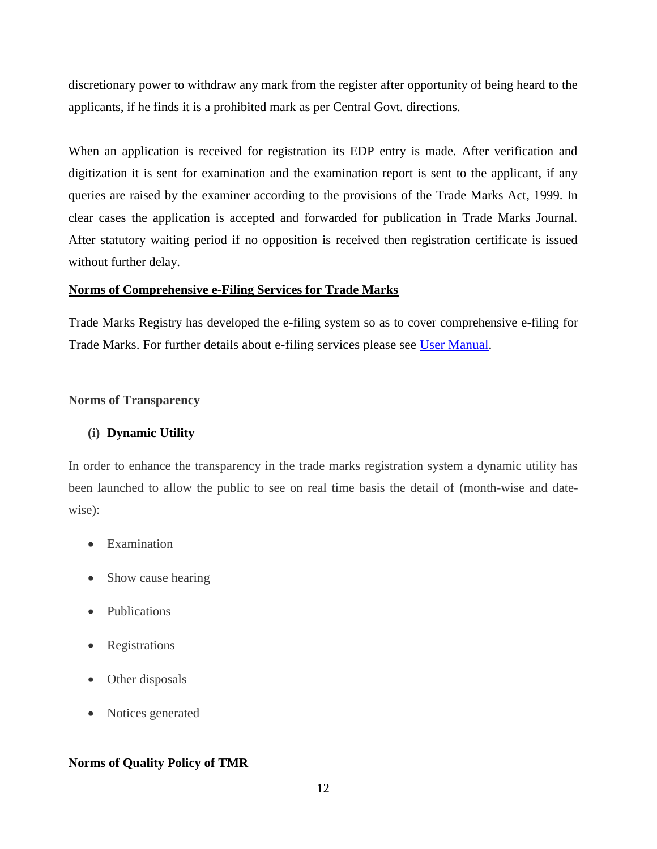discretionary power to withdraw any mark from the register after opportunity of being heard to the applicants, if he finds it is a prohibited mark as per Central Govt. directions.

When an application is received for registration its EDP entry is made. After verification and digitization it is sent for examination and the examination report is sent to the applicant, if any queries are raised by the examiner according to the provisions of the Trade Marks Act, 1999. In clear cases the application is accepted and forwarded for publication in Trade Marks Journal. After statutory waiting period if no opposition is received then registration certificate is issued without further delay.

#### **[Norms of Comprehensive e-Filing Services for Trade Marks](https://ipindiaservices.gov.in/epatentfiling/UsefullDownloads/Comprehensive%20efiling%20manual.pdf)**

Trade Marks Registry has developed the e-filing system so as to cover comprehensive e-filing for Trade Marks. For further details about e-filing services please see [User Manual.](https://ipindiaservices.gov.in/trademarkefiling/UsefullDownloads/User_Manual_etrademarkfiling.pdf)

#### **Norms of Transparency**

#### **(i) [Dynamic Utility](http://www.ipindia.nic.in/)**

In order to enhance the transparency in the trade marks registration system a dynamic utility has been launched to allow the public to see on real time basis the detail of (month-wise and datewise):

- Examination
- Show cause hearing
- Publications
- Registrations
- Other disposals
- Notices generated

#### **Norms of Quality Policy of TMR**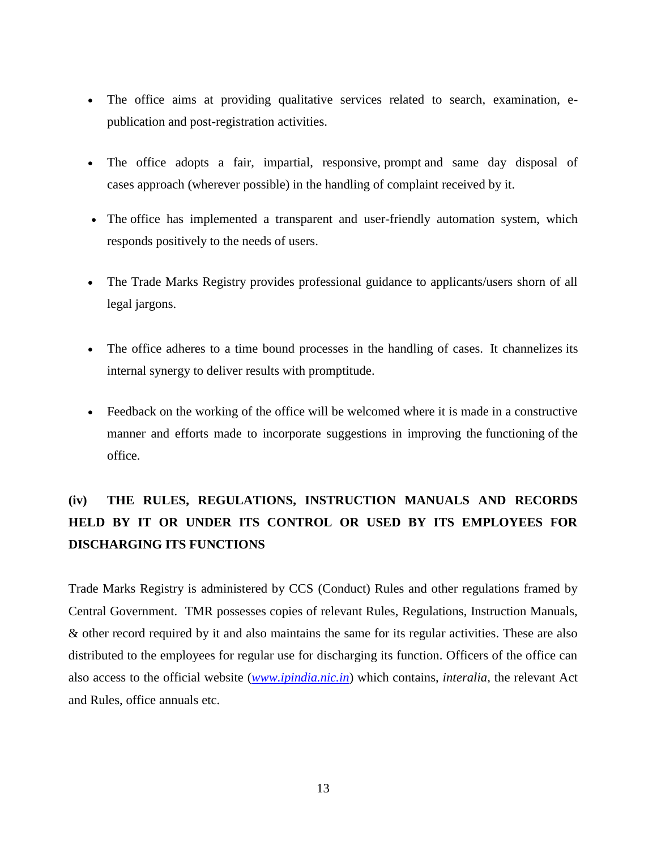- The office aims at providing qualitative services related to search, examination, epublication and post-registration activities.
- The office adopts a fair, impartial, responsive, prompt and same day disposal of cases approach (wherever possible) in the handling of complaint received by it.
- The office has implemented a transparent and user-friendly automation system, which responds positively to the needs of users.
- The Trade Marks Registry provides professional guidance to applicants/users shorn of all legal jargons.
- The office adheres to a time bound processes in the handling of cases. It channelizes its internal synergy to deliver results with promptitude.
- Feedback on the working of the office will be welcomed where it is made in a constructive manner and efforts made to incorporate suggestions in improving the functioning of the office.

## **(iv) THE RULES, REGULATIONS, INSTRUCTION MANUALS AND RECORDS HELD BY IT OR UNDER ITS CONTROL OR USED BY ITS EMPLOYEES FOR DISCHARGING ITS FUNCTIONS**

Trade Marks Registry is administered by CCS (Conduct) Rules and other regulations framed by Central Government. TMR possesses copies of relevant Rules, Regulations, Instruction Manuals, & other record required by it and also maintains the same for its regular activities. These are also distributed to the employees for regular use for discharging its function. Officers of the office can also access to the official website (*[www.ipindia.nic.in](http://www.ipindia.nic.in/)*) which contains, *interalia,* the relevant Act and Rules, office annuals etc.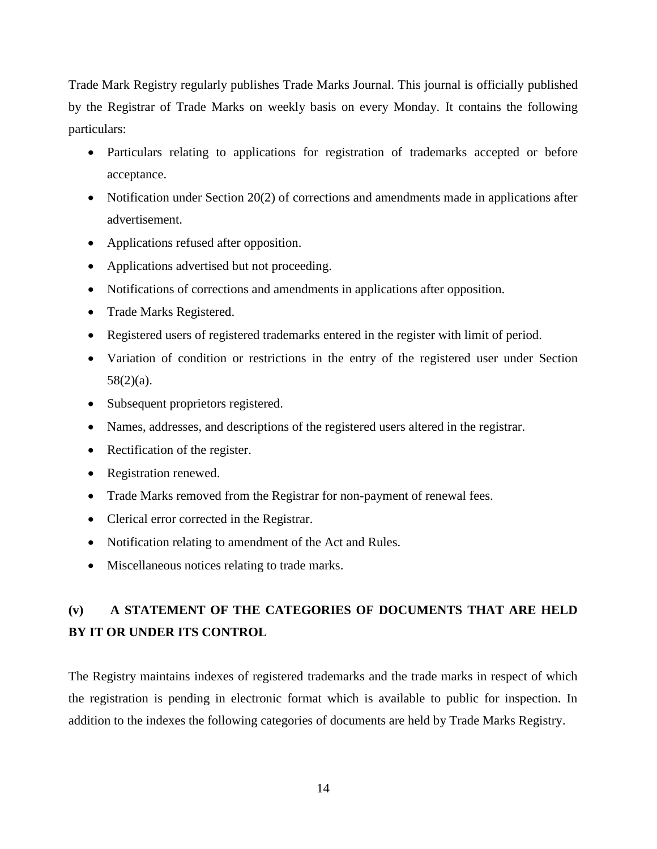Trade Mark Registry regularly publishes Trade Marks Journal. This journal is officially published by the Registrar of Trade Marks on weekly basis on every Monday. It contains the following particulars:

- Particulars relating to applications for registration of trademarks accepted or before acceptance.
- Notification under Section 20(2) of corrections and amendments made in applications after advertisement.
- Applications refused after opposition.
- Applications advertised but not proceeding.
- Notifications of corrections and amendments in applications after opposition.
- Trade Marks Registered.
- Registered users of registered trademarks entered in the register with limit of period.
- Variation of condition or restrictions in the entry of the registered user under Section 58(2)(a).
- Subsequent proprietors registered.
- Names, addresses, and descriptions of the registered users altered in the registrar.
- Rectification of the register.
- Registration renewed.
- Trade Marks removed from the Registrar for non-payment of renewal fees.
- Clerical error corrected in the Registrar.
- Notification relating to amendment of the Act and Rules.
- Miscellaneous notices relating to trade marks.

## **(v) A STATEMENT OF THE CATEGORIES OF DOCUMENTS THAT ARE HELD BY IT OR UNDER ITS CONTROL**

The Registry maintains indexes of registered trademarks and the trade marks in respect of which the registration is pending in electronic format which is available to public for inspection. In addition to the indexes the following categories of documents are held by Trade Marks Registry.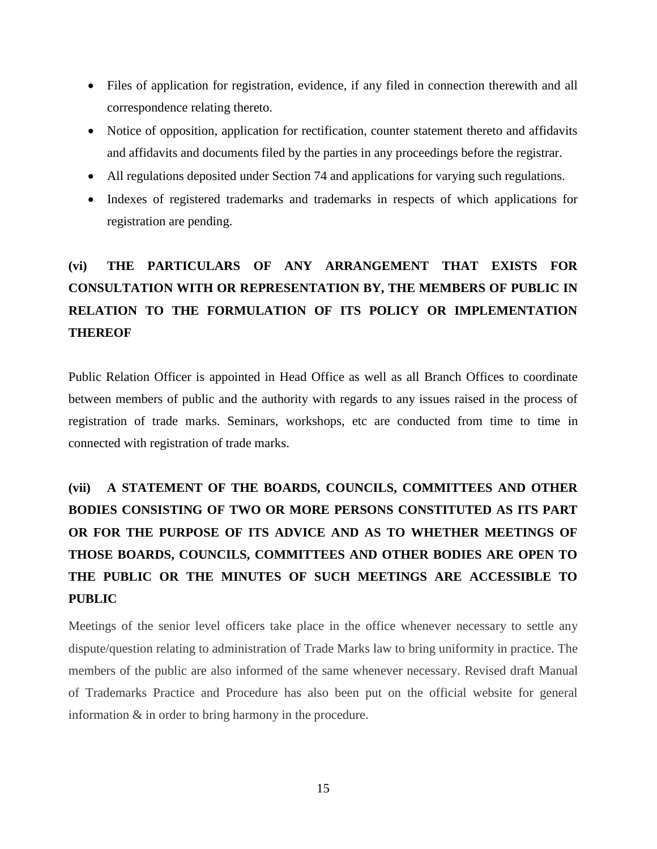- Files of application for registration, evidence, if any filed in connection therewith and all correspondence relating thereto.
- Notice of opposition, application for rectification, counter statement thereto and affidavits and affidavits and documents filed by the parties in any proceedings before the registrar.
- All regulations deposited under Section 74 and applications for varying such regulations.
- Indexes of registered trademarks and trademarks in respects of which applications for registration are pending.

# **(vi) THE PARTICULARS OF ANY ARRANGEMENT THAT EXISTS FOR CONSULTATION WITH OR REPRESENTATION BY, THE MEMBERS OF PUBLIC IN RELATION TO THE FORMULATION OF ITS POLICY OR IMPLEMENTATION THEREOF**

Public Relation Officer is appointed in Head Office as well as all Branch Offices to coordinate between members of public and the authority with regards to any issues raised in the process of registration of trade marks. Seminars, workshops, etc are conducted from time to time in connected with registration of trade marks.

# **(vii) A STATEMENT OF THE BOARDS, COUNCILS, COMMITTEES AND OTHER BODIES CONSISTING OF TWO OR MORE PERSONS CONSTITUTED AS ITS PART OR FOR THE PURPOSE OF ITS ADVICE AND AS TO WHETHER MEETINGS OF THOSE BOARDS, COUNCILS, COMMITTEES AND OTHER BODIES ARE OPEN TO THE PUBLIC OR THE MINUTES OF SUCH MEETINGS ARE ACCESSIBLE TO PUBLIC**

Meetings of the senior level officers take place in the office whenever necessary to settle any dispute/question relating to administration of Trade Marks law to bring uniformity in practice. The members of the public are also informed of the same whenever necessary. Revised draft Manual of Trademarks Practice and Procedure has also been put on the official website for general information & in order to bring harmony in the procedure.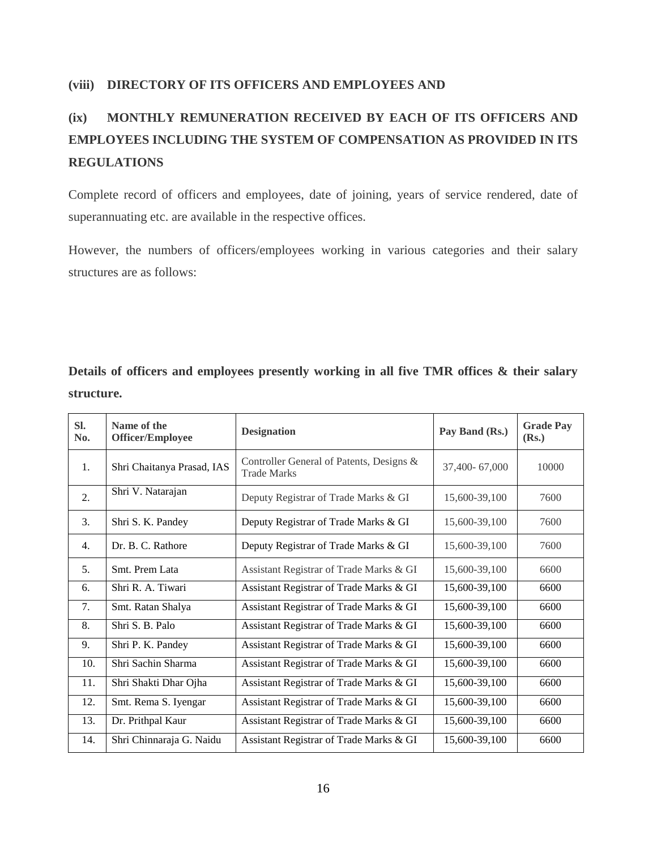#### **(viii) DIRECTORY OF ITS OFFICERS AND EMPLOYEES AND**

## **(ix) MONTHLY REMUNERATION RECEIVED BY EACH OF ITS OFFICERS AND EMPLOYEES INCLUDING THE SYSTEM OF COMPENSATION AS PROVIDED IN ITS REGULATIONS**

Complete record of officers and employees, date of joining, years of service rendered, date of superannuating etc. are available in the respective offices.

However, the numbers of officers/employees working in various categories and their salary structures are as follows:

**Details of officers and employees presently working in all five TMR offices & their salary structure.**

| SI.<br>No. | Name of the<br><b>Officer/Employee</b> | <b>Designation</b>                                             | Pay Band (Rs.) | <b>Grade Pay</b><br>(Rs.) |
|------------|----------------------------------------|----------------------------------------------------------------|----------------|---------------------------|
| 1.         | Shri Chaitanya Prasad, IAS             | Controller General of Patents, Designs &<br><b>Trade Marks</b> | 37,400-67,000  | 10000                     |
| 2.         | Shri V. Natarajan                      | Deputy Registrar of Trade Marks & GI                           | 15,600-39,100  | 7600                      |
| 3.         | Shri S. K. Pandey                      | Deputy Registrar of Trade Marks & GI                           | 15,600-39,100  | 7600                      |
| 4.         | Dr. B. C. Rathore                      | Deputy Registrar of Trade Marks & GI                           | 15,600-39,100  | 7600                      |
| 5.         | Smt. Prem Lata                         | Assistant Registrar of Trade Marks & GI                        | 15,600-39,100  | 6600                      |
| 6.         | Shri R. A. Tiwari                      | Assistant Registrar of Trade Marks & GI                        | 15,600-39,100  | 6600                      |
| 7.         | Smt. Ratan Shalya                      | Assistant Registrar of Trade Marks & GI                        | 15,600-39,100  | 6600                      |
| 8.         | Shri S. B. Palo                        | Assistant Registrar of Trade Marks & GI                        | 15,600-39,100  | 6600                      |
| 9.         | Shri P. K. Pandey                      | Assistant Registrar of Trade Marks & GI                        | 15,600-39,100  | 6600                      |
| 10.        | Shri Sachin Sharma                     | Assistant Registrar of Trade Marks & GI                        | 15,600-39,100  | 6600                      |
| 11.        | Shri Shakti Dhar Ojha                  | Assistant Registrar of Trade Marks & GI                        | 15,600-39,100  | 6600                      |
| 12.        | Smt. Rema S. Iyengar                   | Assistant Registrar of Trade Marks & GI                        | 15,600-39,100  | 6600                      |
| 13.        | Dr. Prithpal Kaur                      | Assistant Registrar of Trade Marks & GI                        | 15,600-39,100  | 6600                      |
| 14.        | Shri Chinnaraja G. Naidu               | Assistant Registrar of Trade Marks & GI                        | 15,600-39,100  | 6600                      |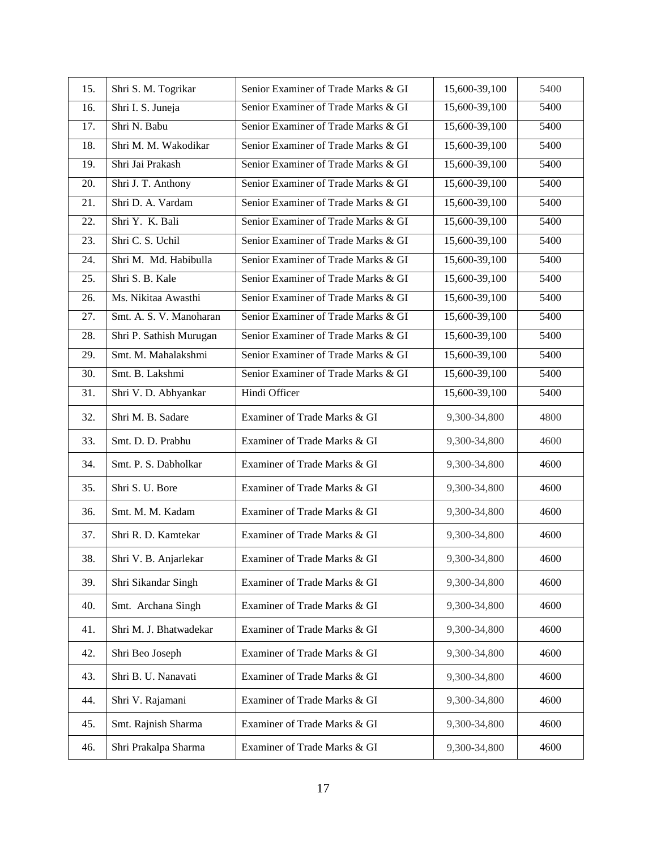| 15. | Shri S. M. Togrikar     | Senior Examiner of Trade Marks & GI | 15,600-39,100 | 5400 |
|-----|-------------------------|-------------------------------------|---------------|------|
| 16. | Shri I. S. Juneja       | Senior Examiner of Trade Marks & GI | 15,600-39,100 | 5400 |
| 17. | Shri N. Babu            | Senior Examiner of Trade Marks & GI | 15,600-39,100 | 5400 |
| 18. | Shri M. M. Wakodikar    | Senior Examiner of Trade Marks & GI | 15,600-39,100 | 5400 |
| 19. | Shri Jai Prakash        | Senior Examiner of Trade Marks & GI | 15,600-39,100 | 5400 |
| 20. | Shri J. T. Anthony      | Senior Examiner of Trade Marks & GI | 15,600-39,100 | 5400 |
| 21. | Shri D. A. Vardam       | Senior Examiner of Trade Marks & GI | 15,600-39,100 | 5400 |
| 22. | Shri Y. K. Bali         | Senior Examiner of Trade Marks & GI | 15,600-39,100 | 5400 |
| 23. | Shri C. S. Uchil        | Senior Examiner of Trade Marks & GI | 15,600-39,100 | 5400 |
| 24. | Shri M. Md. Habibulla   | Senior Examiner of Trade Marks & GI | 15,600-39,100 | 5400 |
| 25. | Shri S. B. Kale         | Senior Examiner of Trade Marks & GI | 15,600-39,100 | 5400 |
| 26. | Ms. Nikitaa Awasthi     | Senior Examiner of Trade Marks & GI | 15,600-39,100 | 5400 |
| 27. | Smt. A. S. V. Manoharan | Senior Examiner of Trade Marks & GI | 15,600-39,100 | 5400 |
| 28. | Shri P. Sathish Murugan | Senior Examiner of Trade Marks & GI | 15,600-39,100 | 5400 |
| 29. | Smt. M. Mahalakshmi     | Senior Examiner of Trade Marks & GI | 15,600-39,100 | 5400 |
| 30. | Smt. B. Lakshmi         | Senior Examiner of Trade Marks & GI | 15,600-39,100 | 5400 |
| 31. | Shri V. D. Abhyankar    | Hindi Officer                       | 15,600-39,100 | 5400 |
| 32. | Shri M. B. Sadare       | Examiner of Trade Marks & GI        | 9,300-34,800  | 4800 |
| 33. | Smt. D. D. Prabhu       | Examiner of Trade Marks & GI        | 9,300-34,800  | 4600 |
| 34. | Smt. P. S. Dabholkar    | Examiner of Trade Marks & GI        | 9,300-34,800  | 4600 |
| 35. | Shri S. U. Bore         | Examiner of Trade Marks & GI        | 9,300-34,800  | 4600 |
| 36. | Smt. M. M. Kadam        | Examiner of Trade Marks & GI        | 9,300-34,800  | 4600 |
| 37. | Shri R. D. Kamtekar     | Examiner of Trade Marks & GI        | 9,300-34,800  | 4600 |
| 38. | Shri V. B. Anjarlekar   | Examiner of Trade Marks & GI        | 9,300-34,800  | 4600 |
| 39. | Shri Sikandar Singh     | Examiner of Trade Marks & GI        | 9,300-34,800  | 4600 |
| 40. | Smt. Archana Singh      | Examiner of Trade Marks & GI        | 9,300-34,800  | 4600 |
| 41. | Shri M. J. Bhatwadekar  | Examiner of Trade Marks & GI        | 9,300-34,800  | 4600 |
| 42. | Shri Beo Joseph         | Examiner of Trade Marks & GI        | 9,300-34,800  | 4600 |
| 43. | Shri B. U. Nanavati     | Examiner of Trade Marks & GI        | 9,300-34,800  | 4600 |
| 44. | Shri V. Rajamani        | Examiner of Trade Marks & GI        | 9,300-34,800  | 4600 |
| 45. | Smt. Rajnish Sharma     | Examiner of Trade Marks & GI        | 9,300-34,800  | 4600 |
| 46. | Shri Prakalpa Sharma    | Examiner of Trade Marks & GI        | 9,300-34,800  | 4600 |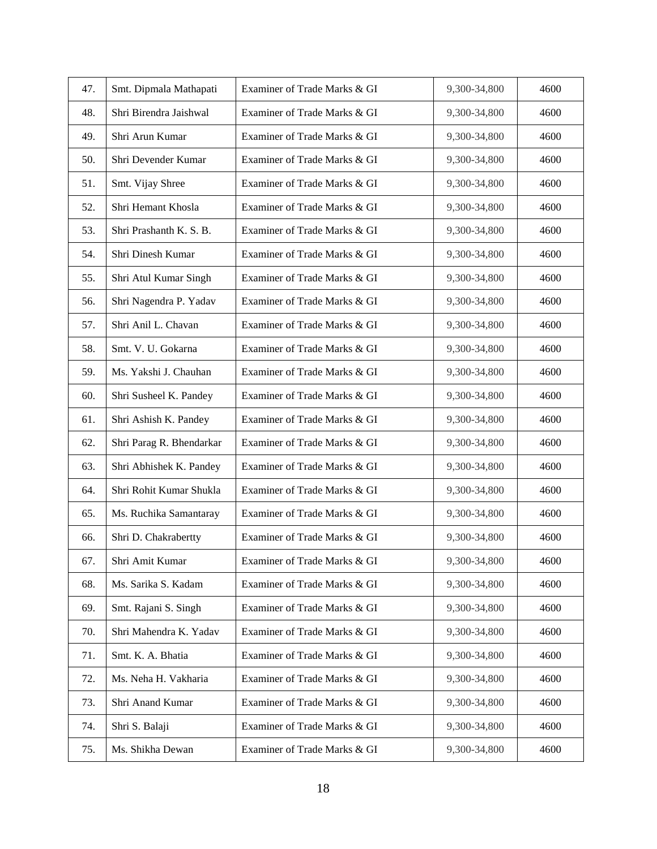| 47. | Smt. Dipmala Mathapati   | Examiner of Trade Marks & GI | 9,300-34,800 | 4600 |
|-----|--------------------------|------------------------------|--------------|------|
| 48. | Shri Birendra Jaishwal   | Examiner of Trade Marks & GI | 9,300-34,800 | 4600 |
| 49. | Shri Arun Kumar          | Examiner of Trade Marks & GI | 9,300-34,800 | 4600 |
| 50. | Shri Devender Kumar      | Examiner of Trade Marks & GI | 9,300-34,800 | 4600 |
| 51. | Smt. Vijay Shree         | Examiner of Trade Marks & GI | 9,300-34,800 | 4600 |
| 52. | Shri Hemant Khosla       | Examiner of Trade Marks & GI | 9,300-34,800 | 4600 |
| 53. | Shri Prashanth K. S. B.  | Examiner of Trade Marks & GI | 9,300-34,800 | 4600 |
| 54. | Shri Dinesh Kumar        | Examiner of Trade Marks & GI | 9,300-34,800 | 4600 |
| 55. | Shri Atul Kumar Singh    | Examiner of Trade Marks & GI | 9,300-34,800 | 4600 |
| 56. | Shri Nagendra P. Yadav   | Examiner of Trade Marks & GI | 9,300-34,800 | 4600 |
| 57. | Shri Anil L. Chavan      | Examiner of Trade Marks & GI | 9,300-34,800 | 4600 |
| 58. | Smt. V. U. Gokarna       | Examiner of Trade Marks & GI | 9,300-34,800 | 4600 |
| 59. | Ms. Yakshi J. Chauhan    | Examiner of Trade Marks & GI | 9,300-34,800 | 4600 |
| 60. | Shri Susheel K. Pandey   | Examiner of Trade Marks & GI | 9,300-34,800 | 4600 |
| 61. | Shri Ashish K. Pandey    | Examiner of Trade Marks & GI | 9,300-34,800 | 4600 |
| 62. | Shri Parag R. Bhendarkar | Examiner of Trade Marks & GI | 9,300-34,800 | 4600 |
| 63. | Shri Abhishek K. Pandey  | Examiner of Trade Marks & GI | 9,300-34,800 | 4600 |
| 64. | Shri Rohit Kumar Shukla  | Examiner of Trade Marks & GI | 9,300-34,800 | 4600 |
| 65. | Ms. Ruchika Samantaray   | Examiner of Trade Marks & GI | 9,300-34,800 | 4600 |
| 66. | Shri D. Chakrabertty     | Examiner of Trade Marks & GI | 9,300-34,800 | 4600 |
| 67. | Shri Amit Kumar          | Examiner of Trade Marks & GI | 9,300-34,800 | 4600 |
| 68. | Ms. Sarika S. Kadam      | Examiner of Trade Marks & GI | 9,300-34,800 | 4600 |
| 69. | Smt. Rajani S. Singh     | Examiner of Trade Marks & GI | 9,300-34,800 | 4600 |
| 70. | Shri Mahendra K. Yadav   | Examiner of Trade Marks & GI | 9,300-34,800 | 4600 |
| 71. | Smt. K. A. Bhatia        | Examiner of Trade Marks & GI | 9,300-34,800 | 4600 |
| 72. | Ms. Neha H. Vakharia     | Examiner of Trade Marks & GI | 9,300-34,800 | 4600 |
| 73. | Shri Anand Kumar         | Examiner of Trade Marks & GI | 9,300-34,800 | 4600 |
| 74. | Shri S. Balaji           | Examiner of Trade Marks & GI | 9,300-34,800 | 4600 |
| 75. | Ms. Shikha Dewan         | Examiner of Trade Marks & GI | 9,300-34,800 | 4600 |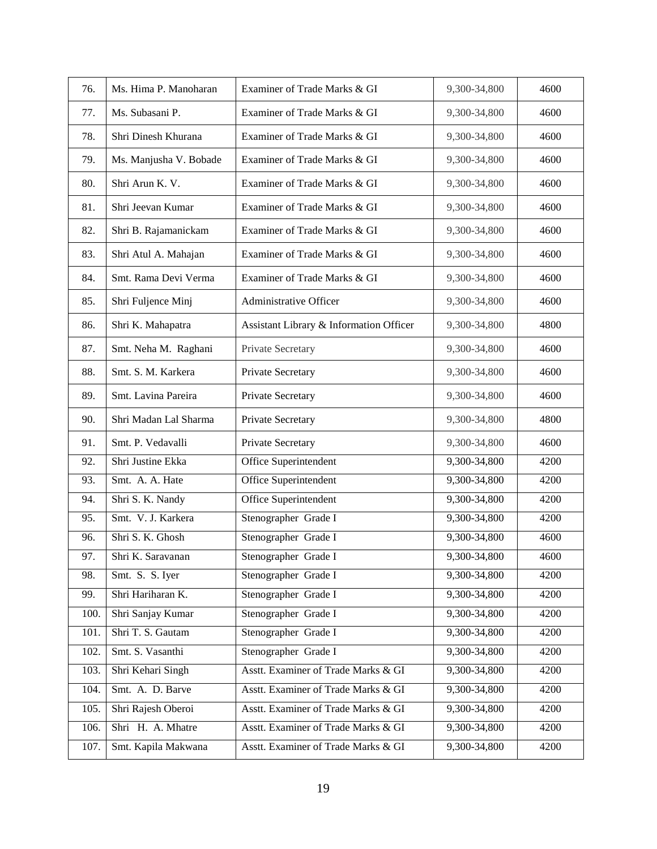| 76.  | Ms. Hima P. Manoharan  | Examiner of Trade Marks & GI            | 9,300-34,800 | 4600 |
|------|------------------------|-----------------------------------------|--------------|------|
| 77.  | Ms. Subasani P.        | Examiner of Trade Marks & GI            | 9,300-34,800 | 4600 |
| 78.  | Shri Dinesh Khurana    | Examiner of Trade Marks & GI            | 9,300-34,800 | 4600 |
| 79.  | Ms. Manjusha V. Bobade | Examiner of Trade Marks & GI            | 9,300-34,800 | 4600 |
| 80.  | Shri Arun K. V.        | Examiner of Trade Marks & GI            | 9,300-34,800 | 4600 |
| 81.  | Shri Jeevan Kumar      | Examiner of Trade Marks & GI            | 9,300-34,800 | 4600 |
| 82.  | Shri B. Rajamanickam   | Examiner of Trade Marks & GI            | 9,300-34,800 | 4600 |
| 83.  | Shri Atul A. Mahajan   | Examiner of Trade Marks & GI            | 9,300-34,800 | 4600 |
| 84.  | Smt. Rama Devi Verma   | Examiner of Trade Marks & GI            | 9,300-34,800 | 4600 |
| 85.  | Shri Fuljence Minj     | Administrative Officer                  | 9,300-34,800 | 4600 |
| 86.  | Shri K. Mahapatra      | Assistant Library & Information Officer | 9,300-34,800 | 4800 |
| 87.  | Smt. Neha M. Raghani   | Private Secretary                       | 9,300-34,800 | 4600 |
| 88.  | Smt. S. M. Karkera     | Private Secretary                       | 9,300-34,800 | 4600 |
| 89.  | Smt. Lavina Pareira    | Private Secretary                       | 9,300-34,800 | 4600 |
| 90.  | Shri Madan Lal Sharma  | Private Secretary                       | 9,300-34,800 | 4800 |
| 91.  | Smt. P. Vedavalli      | Private Secretary                       | 9,300-34,800 | 4600 |
| 92.  | Shri Justine Ekka      | Office Superintendent                   | 9,300-34,800 | 4200 |
| 93.  | Smt. A. A. Hate        | Office Superintendent                   | 9,300-34,800 | 4200 |
| 94.  | Shri S. K. Nandy       | Office Superintendent                   | 9,300-34,800 | 4200 |
| 95.  | Smt. V. J. Karkera     | Stenographer Grade I                    | 9,300-34,800 | 4200 |
| 96.  | Shri S. K. Ghosh       | Stenographer Grade I                    | 9,300-34,800 | 4600 |
| 97.  | Shri K. Saravanan      | Stenographer Grade I                    | 9,300-34,800 | 4600 |
| 98.  | Smt. S. S. Iyer        | Stenographer Grade I                    | 9,300-34,800 | 4200 |
| 99.  | Shri Hariharan K.      | Stenographer Grade I                    | 9,300-34,800 | 4200 |
| 100. | Shri Sanjay Kumar      | Stenographer Grade I                    | 9,300-34,800 | 4200 |
| 101. | Shri T. S. Gautam      | Stenographer Grade I                    | 9,300-34,800 | 4200 |
| 102. | Smt. S. Vasanthi       | Stenographer Grade I                    | 9,300-34,800 | 4200 |
| 103. | Shri Kehari Singh      | Asstt. Examiner of Trade Marks & GI     | 9,300-34,800 | 4200 |
| 104. | Smt. A. D. Barve       | Asstt. Examiner of Trade Marks & GI     | 9,300-34,800 | 4200 |
| 105. | Shri Rajesh Oberoi     | Asstt. Examiner of Trade Marks & GI     | 9,300-34,800 | 4200 |
| 106. | Shri H. A. Mhatre      | Asstt. Examiner of Trade Marks & GI     | 9,300-34,800 | 4200 |
| 107. | Smt. Kapila Makwana    | Asstt. Examiner of Trade Marks & GI     | 9,300-34,800 | 4200 |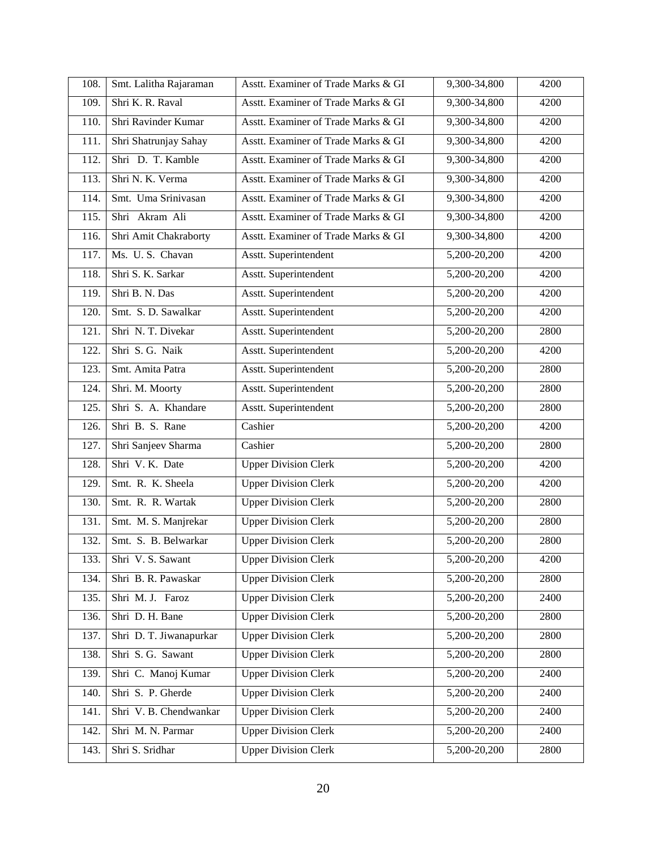| 108. | Smt. Lalitha Rajaraman  | Asstt. Examiner of Trade Marks & GI | 9,300-34,800   | 4200 |
|------|-------------------------|-------------------------------------|----------------|------|
| 109. | Shri K. R. Raval        | Asstt. Examiner of Trade Marks & GI | 9,300-34,800   | 4200 |
| 110. | Shri Ravinder Kumar     | Asstt. Examiner of Trade Marks & GI | 9,300-34,800   | 4200 |
| 111. | Shri Shatrunjay Sahay   | Asstt. Examiner of Trade Marks & GI | 9,300-34,800   | 4200 |
| 112. | Shri D. T. Kamble       | Asstt. Examiner of Trade Marks & GI | 9,300-34,800   | 4200 |
| 113. | Shri N. K. Verma        | Asstt. Examiner of Trade Marks & GI | 9,300-34,800   | 4200 |
| 114. | Smt. Uma Srinivasan     | Asstt. Examiner of Trade Marks & GI | 9,300-34,800   | 4200 |
| 115. | Shri Akram Ali          | Asstt. Examiner of Trade Marks & GI | $9,300-34,800$ | 4200 |
| 116. | Shri Amit Chakraborty   | Asstt. Examiner of Trade Marks & GI | 9,300-34,800   | 4200 |
| 117. | Ms. U.S. Chavan         | Asstt. Superintendent               | 5,200-20,200   | 4200 |
| 118. | Shri S. K. Sarkar       | Asstt. Superintendent               | 5,200-20,200   | 4200 |
| 119. | Shri B. N. Das          | Asstt. Superintendent               | 5,200-20,200   | 4200 |
| 120. | Smt. S. D. Sawalkar     | Asstt. Superintendent               | 5,200-20,200   | 4200 |
| 121. | Shri N. T. Divekar      | Asstt. Superintendent               | 5,200-20,200   | 2800 |
| 122. | Shri S. G. Naik         | Asstt. Superintendent               | $5,200-20,200$ | 4200 |
| 123. | Smt. Amita Patra        | Asstt. Superintendent               | 5,200-20,200   | 2800 |
| 124. | Shri. M. Moorty         | <b>Asstt.</b> Superintendent        | 5,200-20,200   | 2800 |
| 125. | Shri S. A. Khandare     | Asstt. Superintendent               | 5,200-20,200   | 2800 |
| 126. | Shri B. S. Rane         | Cashier                             | 5,200-20,200   | 4200 |
| 127. | Shri Sanjeev Sharma     | Cashier                             | 5,200-20,200   | 2800 |
| 128. | Shri V.K. Date          | <b>Upper Division Clerk</b>         | 5,200-20,200   | 4200 |
| 129. | Smt. R. K. Sheela       | <b>Upper Division Clerk</b>         | 5,200-20,200   | 4200 |
| 130. | Smt. R. R. Wartak       | <b>Upper Division Clerk</b>         | 5,200-20,200   | 2800 |
| 131. | Smt. M. S. Manjrekar    | <b>Upper Division Clerk</b>         | 5,200-20,200   | 2800 |
| 132. | Smt. S. B. Belwarkar    | <b>Upper Division Clerk</b>         | 5,200-20,200   | 2800 |
| 133. | Shri V. S. Sawant       | <b>Upper Division Clerk</b>         | 5,200-20,200   | 4200 |
| 134. | Shri B. R. Pawaskar     | <b>Upper Division Clerk</b>         | $5,200-20,200$ | 2800 |
| 135. | Shri M. J. Faroz        | <b>Upper Division Clerk</b>         | 5,200-20,200   | 2400 |
| 136. | Shri D. H. Bane         | <b>Upper Division Clerk</b>         | 5,200-20,200   | 2800 |
| 137. | Shri D. T. Jiwanapurkar | <b>Upper Division Clerk</b>         | 5,200-20,200   | 2800 |
| 138. | Shri S. G. Sawant       | <b>Upper Division Clerk</b>         | 5,200-20,200   | 2800 |
| 139. | Shri C. Manoj Kumar     | <b>Upper Division Clerk</b>         | 5,200-20,200   | 2400 |
| 140. | Shri S. P. Gherde       | <b>Upper Division Clerk</b>         | 5,200-20,200   | 2400 |
| 141. |                         |                                     |                |      |
|      | Shri V. B. Chendwankar  | <b>Upper Division Clerk</b>         | 5,200-20,200   | 2400 |
| 142. | Shri M. N. Parmar       | <b>Upper Division Clerk</b>         | 5,200-20,200   | 2400 |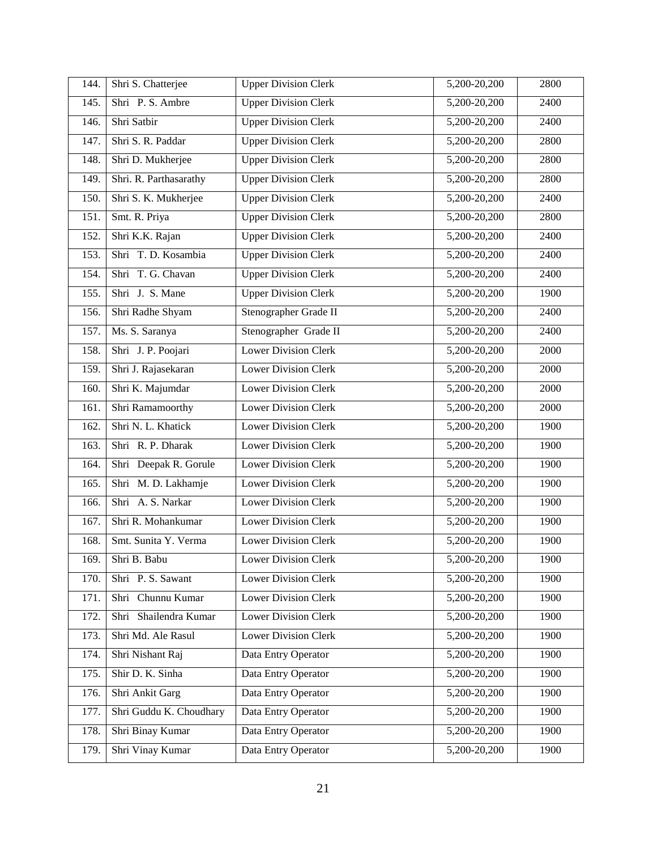| 144. | Shri S. Chatterjee      | <b>Upper Division Clerk</b> | 5,200-20,200   | 2800 |
|------|-------------------------|-----------------------------|----------------|------|
| 145. | Shri P.S. Ambre         | <b>Upper Division Clerk</b> | 5,200-20,200   | 2400 |
| 146. | Shri Satbir             | <b>Upper Division Clerk</b> | 5,200-20,200   | 2400 |
| 147. | Shri S. R. Paddar       | <b>Upper Division Clerk</b> | 5,200-20,200   | 2800 |
| 148. | Shri D. Mukherjee       | <b>Upper Division Clerk</b> | 5,200-20,200   | 2800 |
| 149. | Shri. R. Parthasarathy  | <b>Upper Division Clerk</b> | 5,200-20,200   | 2800 |
| 150. | Shri S. K. Mukherjee    | <b>Upper Division Clerk</b> | 5,200-20,200   | 2400 |
| 151. | Smt. R. Priya           | <b>Upper Division Clerk</b> | 5,200-20,200   | 2800 |
| 152. | Shri K.K. Rajan         | <b>Upper Division Clerk</b> | 5,200-20,200   | 2400 |
| 153. | Shri T. D. Kosambia     | <b>Upper Division Clerk</b> | 5,200-20,200   | 2400 |
| 154. | Shri T. G. Chavan       | <b>Upper Division Clerk</b> | 5,200-20,200   | 2400 |
| 155. | Shri J. S. Mane         | <b>Upper Division Clerk</b> | 5,200-20,200   | 1900 |
| 156. | Shri Radhe Shyam        | Stenographer Grade II       | $5,200-20,200$ | 2400 |
| 157. | Ms. S. Saranya          | Stenographer Grade II       | 5,200-20,200   | 2400 |
| 158. | Shri J. P. Poojari      | <b>Lower Division Clerk</b> | 5,200-20,200   | 2000 |
| 159. | Shri J. Rajasekaran     | <b>Lower Division Clerk</b> | $5,200-20,200$ | 2000 |
| 160. | Shri K. Majumdar        | <b>Lower Division Clerk</b> | 5,200-20,200   | 2000 |
| 161. | Shri Ramamoorthy        | <b>Lower Division Clerk</b> | 5,200-20,200   | 2000 |
| 162. | Shri N. L. Khatick      | <b>Lower Division Clerk</b> | $5,200-20,200$ | 1900 |
| 163. | Shri R. P. Dharak       | <b>Lower Division Clerk</b> | 5,200-20,200   | 1900 |
| 164. | Shri Deepak R. Gorule   | <b>Lower Division Clerk</b> | 5,200-20,200   | 1900 |
| 165. | Shri M. D. Lakhamje     | <b>Lower Division Clerk</b> | 5,200-20,200   | 1900 |
| 166. | Shri A. S. Narkar       | <b>Lower Division Clerk</b> | 5,200-20,200   | 1900 |
| 167. | Shri R. Mohankumar      | <b>Lower Division Clerk</b> | 5,200-20,200   | 1900 |
| 168. | Smt. Sunita Y. Verma    | <b>Lower Division Clerk</b> | 5,200-20,200   | 1900 |
| 169. | Shri B. Babu            | Lower Division Clerk        | 5,200-20,200   | 1900 |
| 170. | Shri P.S. Sawant        | <b>Lower Division Clerk</b> | 5,200-20,200   | 1900 |
| 171. | Shri Chunnu Kumar       | <b>Lower Division Clerk</b> | 5,200-20,200   | 1900 |
| 172. | Shri Shailendra Kumar   | <b>Lower Division Clerk</b> | 5,200-20,200   | 1900 |
| 173. | Shri Md. Ale Rasul      | <b>Lower Division Clerk</b> | 5,200-20,200   | 1900 |
| 174. | Shri Nishant Raj        | Data Entry Operator         | $5,200-20,200$ | 1900 |
| 175. | Shir D. K. Sinha        | Data Entry Operator         | 5,200-20,200   | 1900 |
| 176. | Shri Ankit Garg         | Data Entry Operator         | 5,200-20,200   | 1900 |
| 177. | Shri Guddu K. Choudhary | Data Entry Operator         | 5,200-20,200   | 1900 |
| 178. | Shri Binay Kumar        | Data Entry Operator         | 5,200-20,200   | 1900 |
| 179. | Shri Vinay Kumar        | Data Entry Operator         | $5,200-20,200$ | 1900 |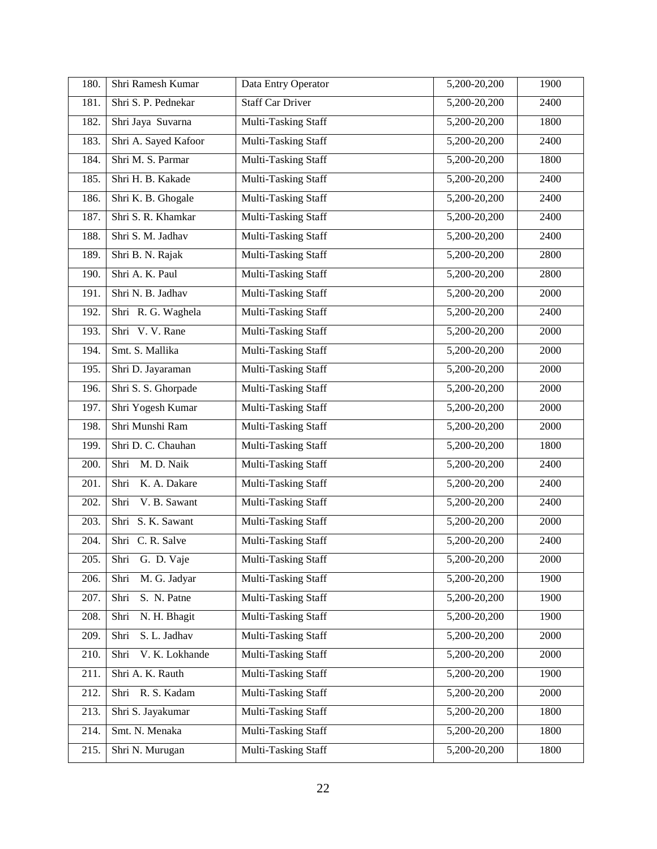| 180. | Shri Ramesh Kumar      | Data Entry Operator        | 5,200-20,200     | 1900 |
|------|------------------------|----------------------------|------------------|------|
| 181. | Shri S. P. Pednekar    | <b>Staff Car Driver</b>    | 5,200-20,200     | 2400 |
| 182. | Shri Jaya Suvarna      | Multi-Tasking Staff        | 5,200-20,200     | 1800 |
| 183. | Shri A. Sayed Kafoor   | Multi-Tasking Staff        | 5,200-20,200     | 2400 |
| 184. | Shri M. S. Parmar      | Multi-Tasking Staff        | 5,200-20,200     | 1800 |
| 185. | Shri H. B. Kakade      | Multi-Tasking Staff        | 5,200-20,200     | 2400 |
| 186. | Shri K. B. Ghogale     | Multi-Tasking Staff        | 5,200-20,200     | 2400 |
| 187. | Shri S. R. Khamkar     | Multi-Tasking Staff        | 5,200-20,200     | 2400 |
| 188. | Shri S. M. Jadhav      | Multi-Tasking Staff        | 5,200-20,200     | 2400 |
| 189. | Shri B. N. Rajak       | Multi-Tasking Staff        | 5,200-20,200     | 2800 |
| 190. | Shri A. K. Paul        | Multi-Tasking Staff        | 5,200-20,200     | 2800 |
| 191. | Shri N. B. Jadhav      | Multi-Tasking Staff        | 5,200-20,200     | 2000 |
| 192. | Shri R. G. Waghela     | Multi-Tasking Staff        | 5,200-20,200     | 2400 |
| 193. | Shri V.V. Rane         | Multi-Tasking Staff        | 5,200-20,200     | 2000 |
| 194. | Smt. S. Mallika        | Multi-Tasking Staff        | 5,200-20,200     | 2000 |
| 195. | Shri D. Jayaraman      | Multi-Tasking Staff        | $5,200-20,200$   | 2000 |
| 196. | Shri S. S. Ghorpade    | Multi-Tasking Staff        | 5,200-20,200     | 2000 |
| 197. | Shri Yogesh Kumar      | Multi-Tasking Staff        | 5,200-20,200     | 2000 |
| 198. | Shri Munshi Ram        | Multi-Tasking Staff        | 5,200-20,200     | 2000 |
| 199. | Shri D. C. Chauhan     | Multi-Tasking Staff        | 5,200-20,200     | 1800 |
| 200. | M. D. Naik<br>Shri     | Multi-Tasking Staff        | 5,200-20,200     | 2400 |
| 201. | K. A. Dakare<br>Shri   | Multi-Tasking Staff        | 5,200-20,200     | 2400 |
| 202. | V. B. Sawant<br>Shri   | Multi-Tasking Staff        | 5,200-20,200     | 2400 |
| 203. | Shri S. K. Sawant      | Multi-Tasking Staff        | 5,200-20,200     | 2000 |
| 204. | Shri C. R. Salve       | Multi-Tasking Staff        | 5,200-20,200     | 2400 |
| 205. | Shri<br>G. D. Vaje     | <b>Multi-Tasking Staff</b> | 5,200-20,200     | 2000 |
| 206. | M. G. Jadyar<br>Shri   | Multi-Tasking Staff        | $5,200 - 20,200$ | 1900 |
| 207. | Shri<br>S. N. Patne    | Multi-Tasking Staff        | 5,200-20,200     | 1900 |
| 208. | N. H. Bhagit<br>Shri   | Multi-Tasking Staff        | 5,200-20,200     | 1900 |
| 209. | S. L. Jadhav<br>Shri   | Multi-Tasking Staff        | 5,200-20,200     | 2000 |
| 210. | V. K. Lokhande<br>Shri | Multi-Tasking Staff        | 5,200-20,200     | 2000 |
| 211. | Shri A. K. Rauth       | Multi-Tasking Staff        | 5,200-20,200     | 1900 |
| 212. | Shri R. S. Kadam       | Multi-Tasking Staff        | 5,200-20,200     | 2000 |
| 213. | Shri S. Jayakumar      | Multi-Tasking Staff        | 5,200-20,200     | 1800 |
| 214. | Smt. N. Menaka         | Multi-Tasking Staff        | 5,200-20,200     | 1800 |
| 215. | Shri N. Murugan        | Multi-Tasking Staff        | 5,200-20,200     | 1800 |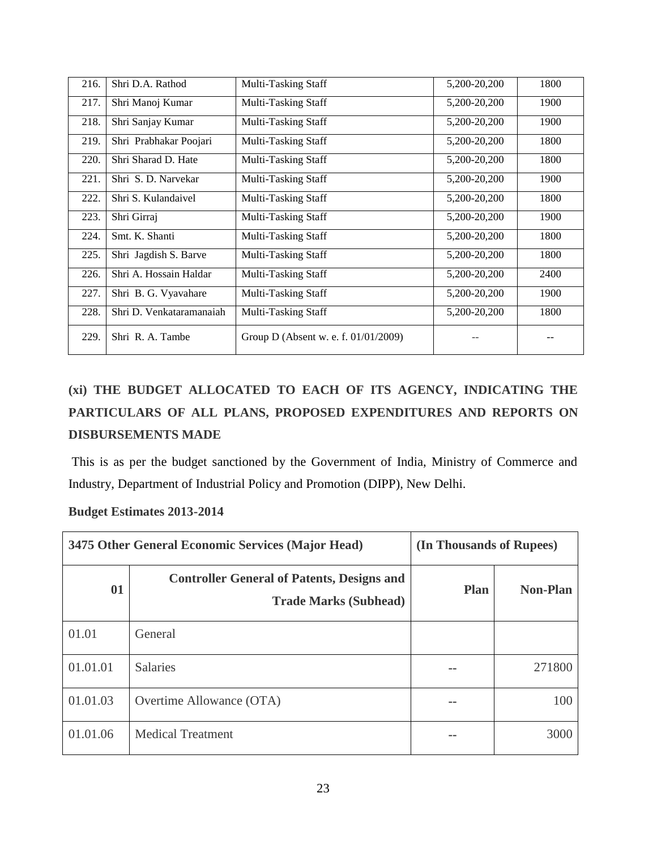| 216. | Shri D.A. Rathod         | Multi-Tasking Staff                  | 5,200-20,200 | 1800 |
|------|--------------------------|--------------------------------------|--------------|------|
| 217. | Shri Manoj Kumar         | Multi-Tasking Staff                  | 5,200-20,200 | 1900 |
| 218. | Shri Sanjay Kumar        | Multi-Tasking Staff                  | 5,200-20,200 | 1900 |
| 219. | Shri Prabhakar Poojari   | Multi-Tasking Staff                  | 5,200-20,200 | 1800 |
| 220. | Shri Sharad D. Hate      | Multi-Tasking Staff                  | 5,200-20,200 | 1800 |
| 221. | Shri S. D. Narvekar      | Multi-Tasking Staff                  | 5,200-20,200 | 1900 |
| 222. | Shri S. Kulandaivel      | Multi-Tasking Staff                  | 5,200-20,200 | 1800 |
| 223. | Shri Girraj              | Multi-Tasking Staff                  | 5,200-20,200 | 1900 |
| 224. | Smt. K. Shanti           | Multi-Tasking Staff                  | 5,200-20,200 | 1800 |
| 225. | Shri Jagdish S. Barve    | Multi-Tasking Staff                  | 5,200-20,200 | 1800 |
| 226. | Shri A. Hossain Haldar   | Multi-Tasking Staff                  | 5,200-20,200 | 2400 |
| 227. | Shri B. G. Vyavahare     | Multi-Tasking Staff                  | 5,200-20,200 | 1900 |
| 228. | Shri D. Venkataramanaiah | Multi-Tasking Staff                  | 5,200-20,200 | 1800 |
| 229. | Shri R. A. Tambe         | Group D (Absent w. e. f. 01/01/2009) |              |      |

# **(xi) THE BUDGET ALLOCATED TO EACH OF ITS AGENCY, INDICATING THE PARTICULARS OF ALL PLANS, PROPOSED EXPENDITURES AND REPORTS ON DISBURSEMENTS MADE**

This is as per the budget sanctioned by the Government of India, Ministry of Commerce and Industry, Department of Industrial Policy and Promotion (DIPP), New Delhi.

#### **Budget Estimates 2013-2014**

| 3475 Other General Economic Services (Major Head) |                                                                                   | (In Thousands of Rupees) |                 |
|---------------------------------------------------|-----------------------------------------------------------------------------------|--------------------------|-----------------|
| 01                                                | <b>Controller General of Patents, Designs and</b><br><b>Trade Marks (Subhead)</b> | <b>Plan</b>              | <b>Non-Plan</b> |
| 01.01                                             | General                                                                           |                          |                 |
| 01.01.01                                          | <b>Salaries</b>                                                                   | --                       | 271800          |
| 01.01.03                                          | Overtime Allowance (OTA)                                                          | --                       | 100             |
| 01.01.06                                          | <b>Medical Treatment</b>                                                          |                          | 3000            |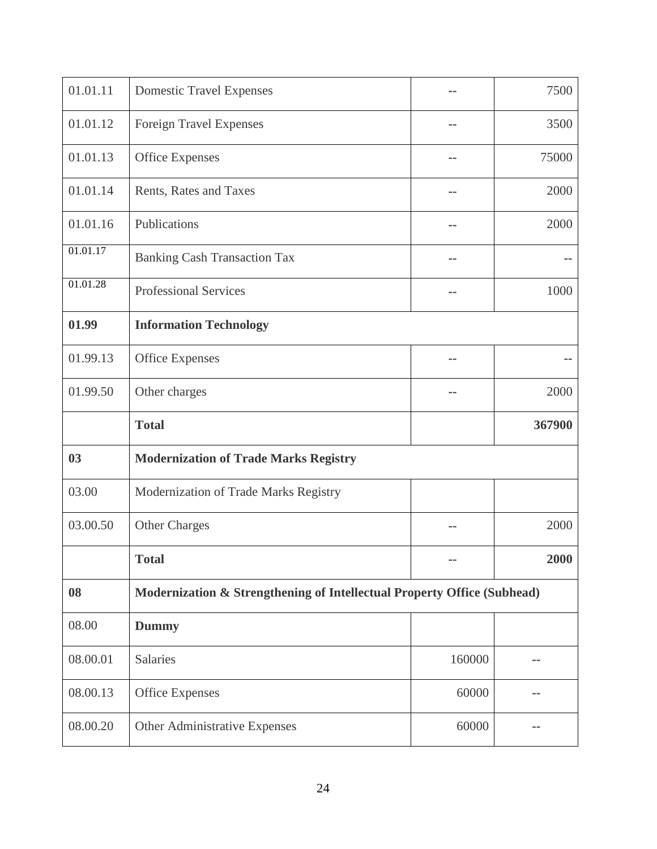| 01.01.11 | <b>Domestic Travel Expenses</b>                                         |        | 7500   |
|----------|-------------------------------------------------------------------------|--------|--------|
| 01.01.12 | <b>Foreign Travel Expenses</b>                                          |        | 3500   |
| 01.01.13 | <b>Office Expenses</b>                                                  |        | 75000  |
| 01.01.14 | Rents, Rates and Taxes                                                  |        | 2000   |
| 01.01.16 | Publications                                                            |        | 2000   |
| 01.01.17 | <b>Banking Cash Transaction Tax</b>                                     |        |        |
| 01.01.28 | <b>Professional Services</b>                                            |        | 1000   |
| 01.99    | <b>Information Technology</b>                                           |        |        |
| 01.99.13 | Office Expenses                                                         |        |        |
| 01.99.50 | Other charges                                                           |        | 2000   |
|          |                                                                         |        |        |
|          | <b>Total</b>                                                            |        | 367900 |
| 03       | <b>Modernization of Trade Marks Registry</b>                            |        |        |
| 03.00    | Modernization of Trade Marks Registry                                   |        |        |
| 03.00.50 | <b>Other Charges</b>                                                    |        | 2000   |
|          | <b>Total</b>                                                            |        | 2000   |
| 08       | Modernization & Strengthening of Intellectual Property Office (Subhead) |        |        |
| 08.00    | <b>Dummy</b>                                                            |        |        |
| 08.00.01 | Salaries                                                                | 160000 |        |
| 08.00.13 | <b>Office Expenses</b>                                                  | 60000  |        |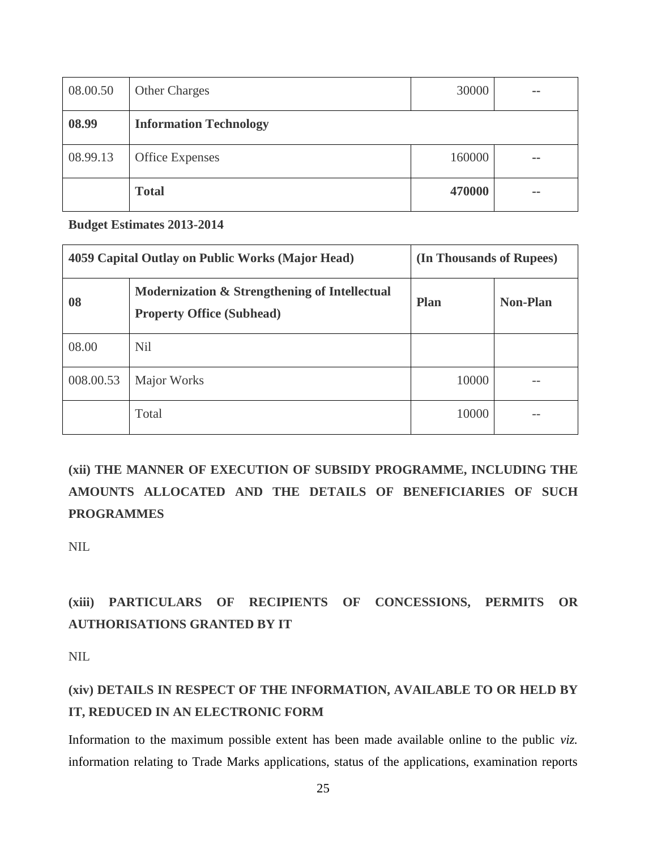| 08.00.50 | <b>Other Charges</b>          | 30000  | $=$ $-$    |
|----------|-------------------------------|--------|------------|
| 08.99    | <b>Information Technology</b> |        |            |
| 08.99.13 | <b>Office Expenses</b>        | 160000 | $\sim$ $-$ |
|          | <b>Total</b>                  | 470000 | $=$ $-$    |

**Budget Estimates 2013-2014**

| 4059 Capital Outlay on Public Works (Major Head) |                                                                                   | (In Thousands of Rupees) |                 |
|--------------------------------------------------|-----------------------------------------------------------------------------------|--------------------------|-----------------|
| 08                                               | Modernization & Strengthening of Intellectual<br><b>Property Office (Subhead)</b> | <b>Plan</b>              | <b>Non-Plan</b> |
| 08.00                                            | <b>Nil</b>                                                                        |                          |                 |
| 008.00.53                                        | Major Works                                                                       | 10000                    | --              |
|                                                  | Total                                                                             | 10000                    |                 |

**(xii) THE MANNER OF EXECUTION OF SUBSIDY PROGRAMME, INCLUDING THE AMOUNTS ALLOCATED AND THE DETAILS OF BENEFICIARIES OF SUCH PROGRAMMES** 

NIL

## **(xiii) PARTICULARS OF RECIPIENTS OF CONCESSIONS, PERMITS OR AUTHORISATIONS GRANTED BY IT**

NIL

## **(xiv) DETAILS IN RESPECT OF THE INFORMATION, AVAILABLE TO OR HELD BY IT, REDUCED IN AN ELECTRONIC FORM**

Information to the maximum possible extent has been made available online to the public *viz.*  information relating to Trade Marks applications, status of the applications, examination reports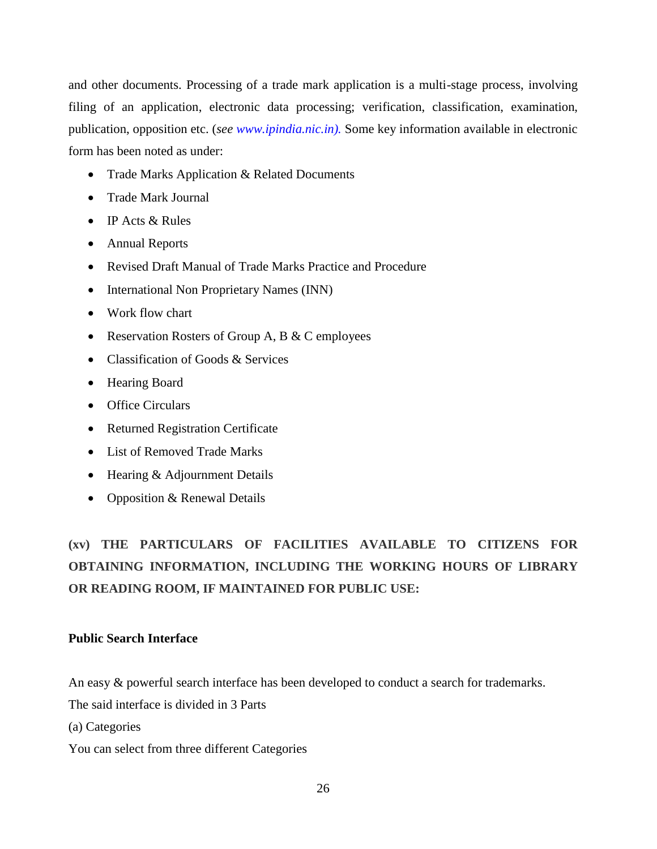and other documents. Processing of a trade mark application is a multi-stage process, involving filing of an application, electronic data processing; verification, classification, examination, publication, opposition etc. (*see [www.ipindia.nic.in\)](http://www.ipindia.nic.in/).* Some key information available in electronic form has been noted as under:

- Trade Marks Application & Related Documents
- Trade Mark Journal
- IP Acts & Rules
- Annual Reports
- Revised Draft Manual of Trade Marks Practice and Procedure
- International Non Proprietary Names (INN)
- Work flow chart
- Reservation Rosters of Group A, B & C employees
- Classification of Goods & Services
- Hearing Board
- Office Circulars
- Returned Registration Certificate
- List of Removed Trade Marks
- Hearing & Adjournment Details
- Opposition & Renewal Details

**(xv) THE PARTICULARS OF FACILITIES AVAILABLE TO CITIZENS FOR OBTAINING INFORMATION, INCLUDING THE WORKING HOURS OF LIBRARY OR READING ROOM, IF MAINTAINED FOR PUBLIC USE:**

### **Public Search Interface**

An easy & powerful search interface has been developed to conduct a search for trademarks.

The said interface is divided in 3 Parts

(a) Categories

You can select from three different Categories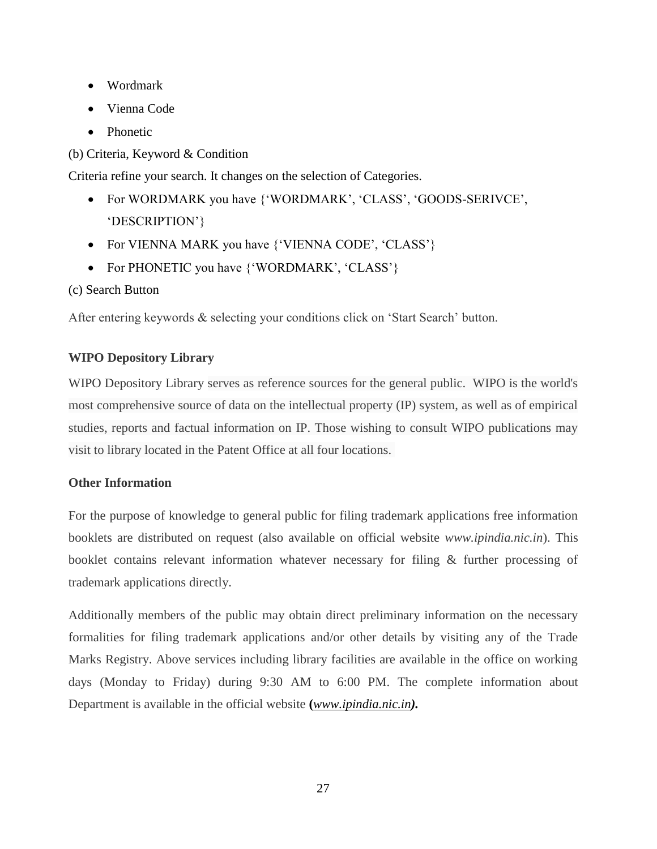- Wordmark
- Vienna Code
- Phonetic

(b) Criteria, Keyword & Condition

Criteria refine your search. It changes on the selection of Categories.

- For WORDMARK you have {'WORDMARK', 'CLASS', 'GOODS-SERIVCE', 'DESCRIPTION'}
- For VIENNA MARK you have {'VIENNA CODE', 'CLASS'}
- For PHONETIC you have {'WORDMARK', 'CLASS'}
- (c) Search Button

After entering keywords & selecting your conditions click on 'Start Search' button.

### **WIPO Depository Library**

WIPO Depository Library serves as reference sources for the general public. WIPO is the world's most comprehensive source of data on the intellectual property (IP) system, as well as of empirical studies, reports and factual information on IP. Those wishing to consult WIPO publications may visit to library located in the Patent Office at all four locations.

### **Other Information**

For the purpose of knowledge to general public for filing trademark applications free information booklets are distributed on request (also available on official website *www.ipindia.nic.in*). This booklet contains relevant information whatever necessary for filing & further processing of trademark applications directly.

Additionally members of the public may obtain direct preliminary information on the necessary formalities for filing trademark applications and/or other details by visiting any of the Trade Marks Registry. Above services including library facilities are available in the office on working days (Monday to Friday) during 9:30 AM to 6:00 PM. The complete information about Department is available in the official website **(***[www.ipindia.nic.in](http://www.ipindia.nic.in/)).*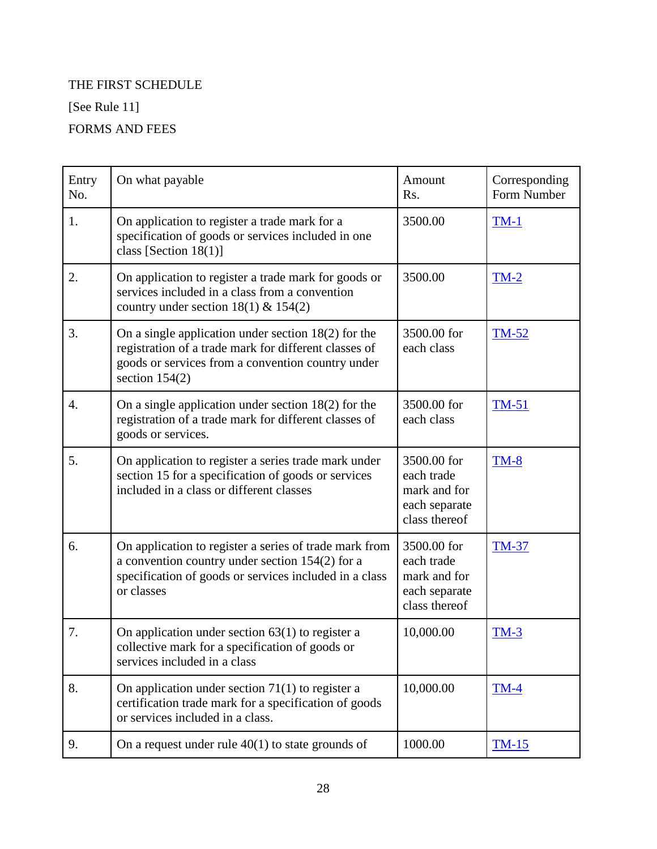## THE FIRST SCHEDULE

[See Rule 11]

## FORMS AND FEES

| Entry<br>No. | On what payable                                                                                                                                                                         | Amount<br>R <sub>s</sub> .                                                  | Corresponding<br>Form Number |
|--------------|-----------------------------------------------------------------------------------------------------------------------------------------------------------------------------------------|-----------------------------------------------------------------------------|------------------------------|
| 1.           | On application to register a trade mark for a<br>specification of goods or services included in one<br>class [Section $18(1)$ ]                                                         | 3500.00                                                                     | $TM-1$                       |
| 2.           | On application to register a trade mark for goods or<br>services included in a class from a convention<br>country under section $18(1)$ & $154(2)$                                      | 3500.00                                                                     | $TM-2$                       |
| 3.           | On a single application under section $18(2)$ for the<br>registration of a trade mark for different classes of<br>goods or services from a convention country under<br>section $154(2)$ | 3500.00 for<br>each class                                                   | $TM-52$                      |
| 4.           | On a single application under section $18(2)$ for the<br>registration of a trade mark for different classes of<br>goods or services.                                                    | 3500.00 for<br>each class                                                   | $TM-51$                      |
| 5.           | On application to register a series trade mark under<br>section 15 for a specification of goods or services<br>included in a class or different classes                                 | 3500.00 for<br>each trade<br>mark and for<br>each separate<br>class thereof | $TM-8$                       |
| 6.           | On application to register a series of trade mark from<br>a convention country under section 154(2) for a<br>specification of goods or services included in a class<br>or classes       | 3500.00 for<br>each trade<br>mark and for<br>each separate<br>class thereof | <b>TM-37</b>                 |
| 7.           | On application under section $63(1)$ to register a<br>collective mark for a specification of goods or<br>services included in a class                                                   | 10,000.00                                                                   | $TM-3$                       |
| 8.           | On application under section $71(1)$ to register a<br>certification trade mark for a specification of goods<br>or services included in a class.                                         | 10,000.00                                                                   | $TM-4$                       |
| 9.           | On a request under rule $40(1)$ to state grounds of                                                                                                                                     | 1000.00                                                                     | <u>TM-15</u>                 |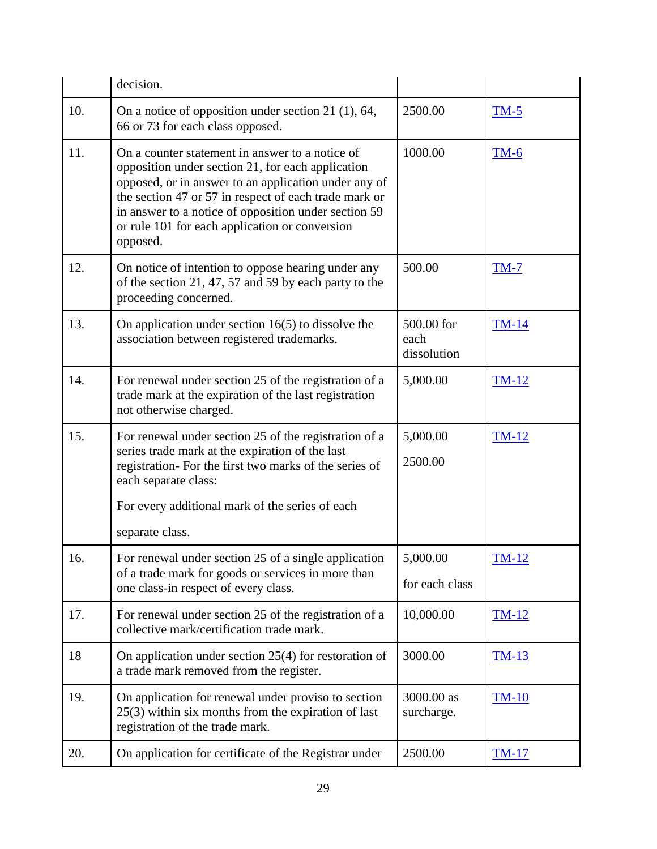|     | decision.                                                                                                                                                                                                                                                                                                                                   |                                   |              |
|-----|---------------------------------------------------------------------------------------------------------------------------------------------------------------------------------------------------------------------------------------------------------------------------------------------------------------------------------------------|-----------------------------------|--------------|
| 10. | On a notice of opposition under section 21 $(1)$ , 64,<br>66 or 73 for each class opposed.                                                                                                                                                                                                                                                  | 2500.00                           | $TM-5$       |
| 11. | On a counter statement in answer to a notice of<br>opposition under section 21, for each application<br>opposed, or in answer to an application under any of<br>the section 47 or 57 in respect of each trade mark or<br>in answer to a notice of opposition under section 59<br>or rule 101 for each application or conversion<br>opposed. | 1000.00                           | $TM-6$       |
| 12. | On notice of intention to oppose hearing under any<br>of the section 21, 47, 57 and 59 by each party to the<br>proceeding concerned.                                                                                                                                                                                                        | 500.00                            | <b>TM-7</b>  |
| 13. | On application under section $16(5)$ to dissolve the<br>association between registered trademarks.                                                                                                                                                                                                                                          | 500.00 for<br>each<br>dissolution | <b>TM-14</b> |
| 14. | For renewal under section 25 of the registration of a<br>trade mark at the expiration of the last registration<br>not otherwise charged.                                                                                                                                                                                                    | 5,000.00                          | $TM-12$      |
| 15. | For renewal under section 25 of the registration of a<br>series trade mark at the expiration of the last<br>registration- For the first two marks of the series of<br>each separate class:                                                                                                                                                  | 5,000.00<br>2500.00               | <b>TM-12</b> |
|     | For every additional mark of the series of each                                                                                                                                                                                                                                                                                             |                                   |              |
|     | separate class.                                                                                                                                                                                                                                                                                                                             |                                   |              |
| 16. | For renewal under section 25 of a single application                                                                                                                                                                                                                                                                                        | 5,000.00                          | <b>TM-12</b> |
|     | of a trade mark for goods or services in more than<br>one class-in respect of every class.                                                                                                                                                                                                                                                  | for each class                    |              |
| 17. | For renewal under section 25 of the registration of a<br>collective mark/certification trade mark.                                                                                                                                                                                                                                          | 10,000.00                         | $TM-12$      |
| 18  | On application under section $25(4)$ for restoration of<br>a trade mark removed from the register.                                                                                                                                                                                                                                          | 3000.00                           | $TM-13$      |
| 19. | On application for renewal under proviso to section<br>$25(3)$ within six months from the expiration of last<br>registration of the trade mark.                                                                                                                                                                                             | 3000.00 as<br>surcharge.          | $TM-10$      |
| 20. | On application for certificate of the Registrar under                                                                                                                                                                                                                                                                                       | 2500.00                           | <b>TM-17</b> |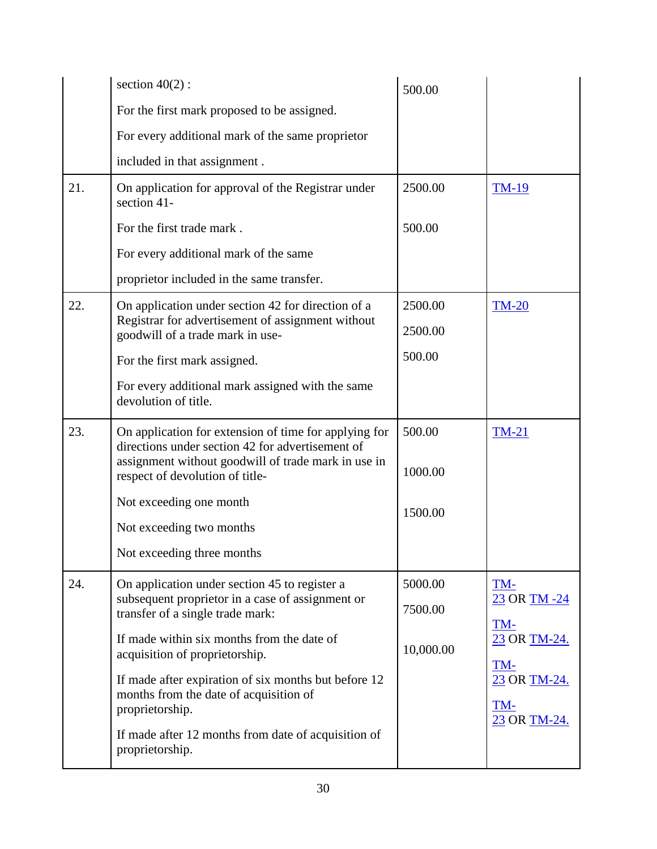|     | section $40(2)$ :                                                                                                                                                                                   | 500.00             |                                            |
|-----|-----------------------------------------------------------------------------------------------------------------------------------------------------------------------------------------------------|--------------------|--------------------------------------------|
|     | For the first mark proposed to be assigned.                                                                                                                                                         |                    |                                            |
|     | For every additional mark of the same proprietor                                                                                                                                                    |                    |                                            |
|     | included in that assignment.                                                                                                                                                                        |                    |                                            |
| 21. | On application for approval of the Registrar under<br>section 41-                                                                                                                                   | 2500.00            | <b>TM-19</b>                               |
|     | For the first trade mark.                                                                                                                                                                           | 500.00             |                                            |
|     | For every additional mark of the same                                                                                                                                                               |                    |                                            |
|     | proprietor included in the same transfer.                                                                                                                                                           |                    |                                            |
| 22. | On application under section 42 for direction of a                                                                                                                                                  | 2500.00            | <b>TM-20</b>                               |
|     | Registrar for advertisement of assignment without<br>goodwill of a trade mark in use-                                                                                                               | 2500.00            |                                            |
|     | For the first mark assigned.                                                                                                                                                                        | 500.00             |                                            |
|     | For every additional mark assigned with the same<br>devolution of title.                                                                                                                            |                    |                                            |
| 23. | On application for extension of time for applying for<br>directions under section 42 for advertisement of<br>assignment without goodwill of trade mark in use in<br>respect of devolution of title- | 500.00<br>1000.00  | $TM-21$                                    |
|     | Not exceeding one month<br>Not exceeding two months                                                                                                                                                 | 1500.00            |                                            |
|     | Not exceeding three months                                                                                                                                                                          |                    |                                            |
| 24. | On application under section 45 to register a<br>subsequent proprietor in a case of assignment or<br>transfer of a single trade mark:                                                               | 5000.00<br>7500.00 | TM-<br>23 OR TM -24<br>TM-                 |
|     | If made within six months from the date of<br>acquisition of proprietorship.                                                                                                                        | 10,000.00          | 23 OR TM-24.                               |
|     | If made after expiration of six months but before 12<br>months from the date of acquisition of<br>proprietorship.                                                                                   |                    | TM-<br>23 OR TM-24.<br>TM-<br>23 OR TM-24. |
|     | If made after 12 months from date of acquisition of<br>proprietorship.                                                                                                                              |                    |                                            |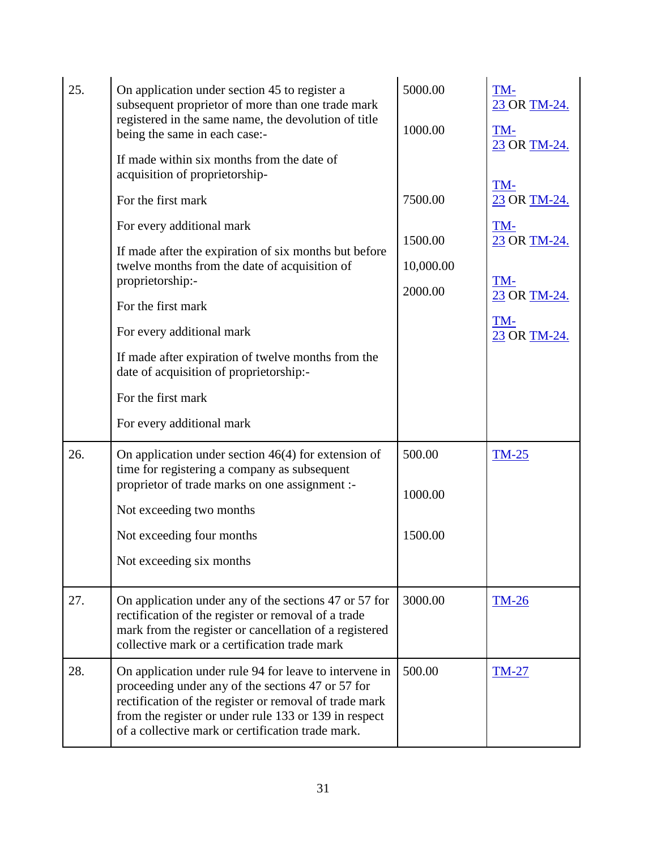| 25. | On application under section 45 to register a<br>subsequent proprietor of more than one trade mark<br>registered in the same name, the devolution of title<br>being the same in each case:-                                                                                         | 5000.00<br>1000.00   | TM-<br>23 OR TM-24.<br>TM-<br>23 OR TM-24. |
|-----|-------------------------------------------------------------------------------------------------------------------------------------------------------------------------------------------------------------------------------------------------------------------------------------|----------------------|--------------------------------------------|
|     | If made within six months from the date of<br>acquisition of proprietorship-                                                                                                                                                                                                        |                      | TM-                                        |
|     | For the first mark                                                                                                                                                                                                                                                                  | 7500.00              | 23 OR TM-24.                               |
|     | For every additional mark                                                                                                                                                                                                                                                           | 1500.00              | TM-                                        |
|     | If made after the expiration of six months but before<br>twelve months from the date of acquisition of<br>proprietorship:-                                                                                                                                                          | 10,000.00<br>2000.00 | 23 OR TM-24.<br>TM-<br>23 OR TM-24.        |
|     | For the first mark                                                                                                                                                                                                                                                                  |                      | TM-                                        |
|     | For every additional mark                                                                                                                                                                                                                                                           |                      | 23 OR TM-24.                               |
|     | If made after expiration of twelve months from the<br>date of acquisition of proprietorship:-                                                                                                                                                                                       |                      |                                            |
|     | For the first mark                                                                                                                                                                                                                                                                  |                      |                                            |
|     | For every additional mark                                                                                                                                                                                                                                                           |                      |                                            |
| 26. | On application under section $46(4)$ for extension of<br>time for registering a company as subsequent                                                                                                                                                                               | 500.00               | $TM-25$                                    |
|     | proprietor of trade marks on one assignment :-<br>Not exceeding two months                                                                                                                                                                                                          | 1000.00              |                                            |
|     | Not exceeding four months                                                                                                                                                                                                                                                           | 1500.00              |                                            |
|     | Not exceeding six months                                                                                                                                                                                                                                                            |                      |                                            |
| 27. | On application under any of the sections 47 or 57 for<br>rectification of the register or removal of a trade<br>mark from the register or cancellation of a registered<br>collective mark or a certification trade mark                                                             | 3000.00              | <b>TM-26</b>                               |
| 28. | On application under rule 94 for leave to intervene in<br>proceeding under any of the sections 47 or 57 for<br>rectification of the register or removal of trade mark<br>from the register or under rule 133 or 139 in respect<br>of a collective mark or certification trade mark. | 500.00               | <b>TM-27</b>                               |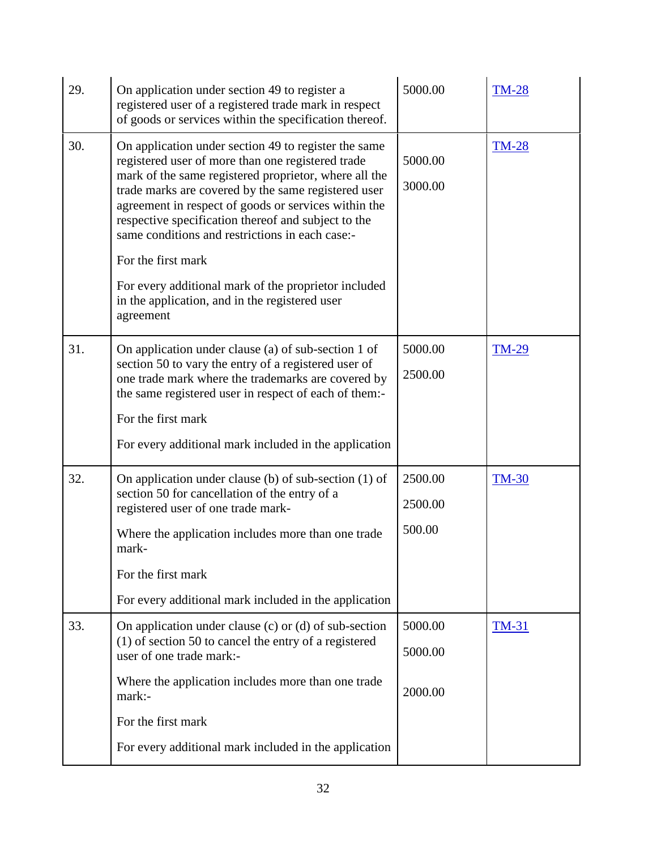| 29. | 5000.00<br>On application under section 49 to register a<br><b>TM-28</b><br>registered user of a registered trade mark in respect<br>of goods or services within the specification thereof.                                                                                                                                                                                                                                                                                                                                              |                               |              |  |
|-----|------------------------------------------------------------------------------------------------------------------------------------------------------------------------------------------------------------------------------------------------------------------------------------------------------------------------------------------------------------------------------------------------------------------------------------------------------------------------------------------------------------------------------------------|-------------------------------|--------------|--|
| 30. | On application under section 49 to register the same<br>registered user of more than one registered trade<br>mark of the same registered proprietor, where all the<br>trade marks are covered by the same registered user<br>agreement in respect of goods or services within the<br>respective specification thereof and subject to the<br>same conditions and restrictions in each case:-<br>For the first mark<br>For every additional mark of the proprietor included<br>in the application, and in the registered user<br>agreement | 5000.00<br>3000.00            | <b>TM-28</b> |  |
| 31. | On application under clause (a) of sub-section 1 of<br>section 50 to vary the entry of a registered user of<br>one trade mark where the trademarks are covered by<br>the same registered user in respect of each of them:-<br>For the first mark<br>For every additional mark included in the application                                                                                                                                                                                                                                | 5000.00<br>2500.00            | <b>TM-29</b> |  |
| 32. | On application under clause (b) of sub-section $(1)$ of<br>section 50 for cancellation of the entry of a<br>registered user of one trade mark-<br>Where the application includes more than one trade<br>mark-<br>For the first mark<br>For every additional mark included in the application                                                                                                                                                                                                                                             | 2500.00<br>2500.00<br>500.00  | <b>TM-30</b> |  |
| 33. | On application under clause (c) or (d) of sub-section<br>$(1)$ of section 50 to cancel the entry of a registered<br>user of one trade mark:-<br>Where the application includes more than one trade<br>mark:-<br>For the first mark<br>For every additional mark included in the application                                                                                                                                                                                                                                              | 5000.00<br>5000.00<br>2000.00 | <b>TM-31</b> |  |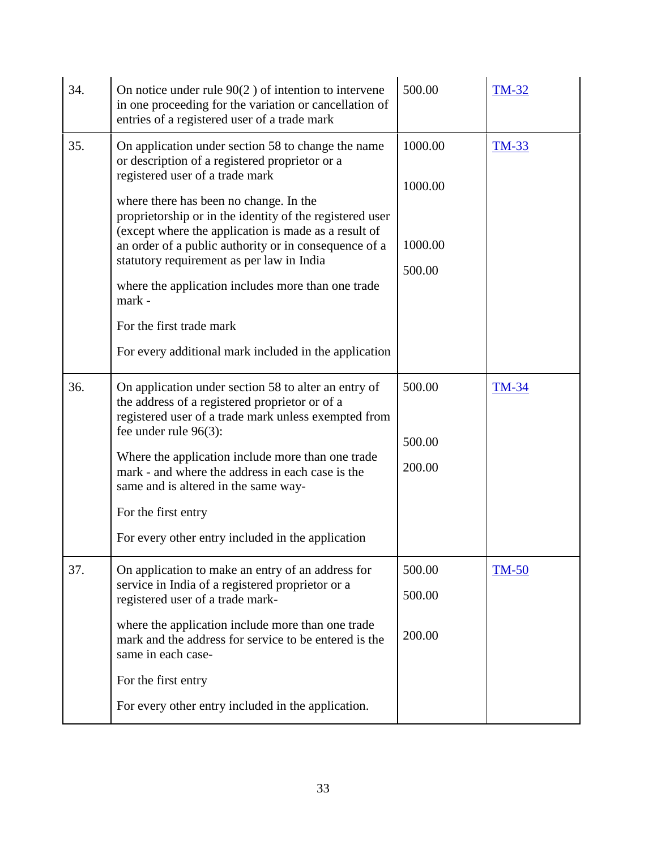| 34. | On notice under rule $90(2)$ of intention to intervene<br>in one proceeding for the variation or cancellation of<br>entries of a registered user of a trade mark                                                                                                                                                                                                                                                                                                                                                                                                 | 500.00                                  | <b>TM-32</b> |
|-----|------------------------------------------------------------------------------------------------------------------------------------------------------------------------------------------------------------------------------------------------------------------------------------------------------------------------------------------------------------------------------------------------------------------------------------------------------------------------------------------------------------------------------------------------------------------|-----------------------------------------|--------------|
| 35. | On application under section 58 to change the name<br>or description of a registered proprietor or a<br>registered user of a trade mark<br>where there has been no change. In the<br>proprietorship or in the identity of the registered user<br>(except where the application is made as a result of<br>an order of a public authority or in consequence of a<br>statutory requirement as per law in India<br>where the application includes more than one trade<br>mark -<br>For the first trade mark<br>For every additional mark included in the application | 1000.00<br>1000.00<br>1000.00<br>500.00 | <b>TM-33</b> |
| 36. | On application under section 58 to alter an entry of<br>the address of a registered proprietor or of a<br>registered user of a trade mark unless exempted from<br>fee under rule $96(3)$ :<br>Where the application include more than one trade<br>mark - and where the address in each case is the<br>same and is altered in the same way-<br>For the first entry<br>For every other entry included in the application                                                                                                                                          | 500.00<br>500.00<br>200.00              | <b>TM-34</b> |
| 37. | On application to make an entry of an address for<br>service in India of a registered proprietor or a<br>registered user of a trade mark-<br>where the application include more than one trade<br>mark and the address for service to be entered is the<br>same in each case-<br>For the first entry<br>For every other entry included in the application.                                                                                                                                                                                                       | 500.00<br>500.00<br>200.00              | <b>TM-50</b> |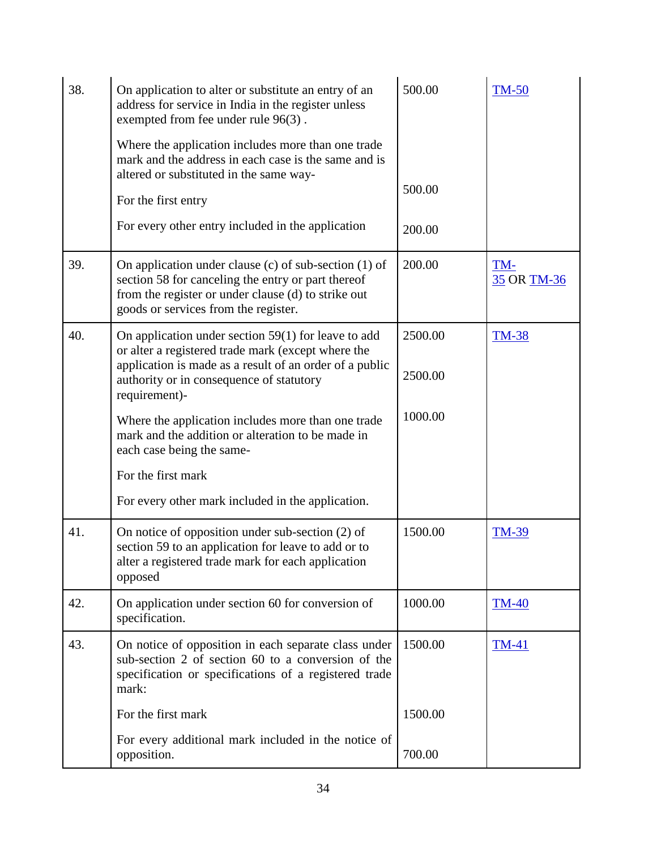| 38. | 500.00<br>On application to alter or substitute an entry of an<br>address for service in India in the register unless<br>exempted from fee under rule 96(3).                                                                        |                    | <b>TM-50</b>       |
|-----|-------------------------------------------------------------------------------------------------------------------------------------------------------------------------------------------------------------------------------------|--------------------|--------------------|
|     | Where the application includes more than one trade<br>mark and the address in each case is the same and is<br>altered or substituted in the same way-                                                                               |                    |                    |
|     | For the first entry                                                                                                                                                                                                                 | 500.00             |                    |
|     | For every other entry included in the application                                                                                                                                                                                   | 200.00             |                    |
| 39. | On application under clause (c) of sub-section $(1)$ of<br>section 58 for canceling the entry or part thereof<br>from the register or under clause (d) to strike out<br>goods or services from the register.                        | 200.00             | TM-<br>35 OR TM-36 |
| 40. | On application under section $59(1)$ for leave to add<br>or alter a registered trade mark (except where the<br>application is made as a result of an order of a public<br>authority or in consequence of statutory<br>requirement)- | 2500.00<br>2500.00 | <b>TM-38</b>       |
|     | Where the application includes more than one trade<br>mark and the addition or alteration to be made in<br>each case being the same-                                                                                                | 1000.00            |                    |
|     | For the first mark                                                                                                                                                                                                                  |                    |                    |
|     | For every other mark included in the application.                                                                                                                                                                                   |                    |                    |
| 41. | On notice of opposition under sub-section $(2)$ of<br>section 59 to an application for leave to add or to<br>alter a registered trade mark for each application<br>opposed                                                          | 1500.00            | <b>TM-39</b>       |
| 42. | On application under section 60 for conversion of<br>specification.                                                                                                                                                                 | 1000.00            | <b>TM-40</b>       |
| 43. | On notice of opposition in each separate class under<br>sub-section 2 of section 60 to a conversion of the<br>specification or specifications of a registered trade<br>mark:                                                        | 1500.00            | <b>TM-41</b>       |
|     | For the first mark                                                                                                                                                                                                                  | 1500.00            |                    |
|     | For every additional mark included in the notice of<br>opposition.                                                                                                                                                                  | 700.00             |                    |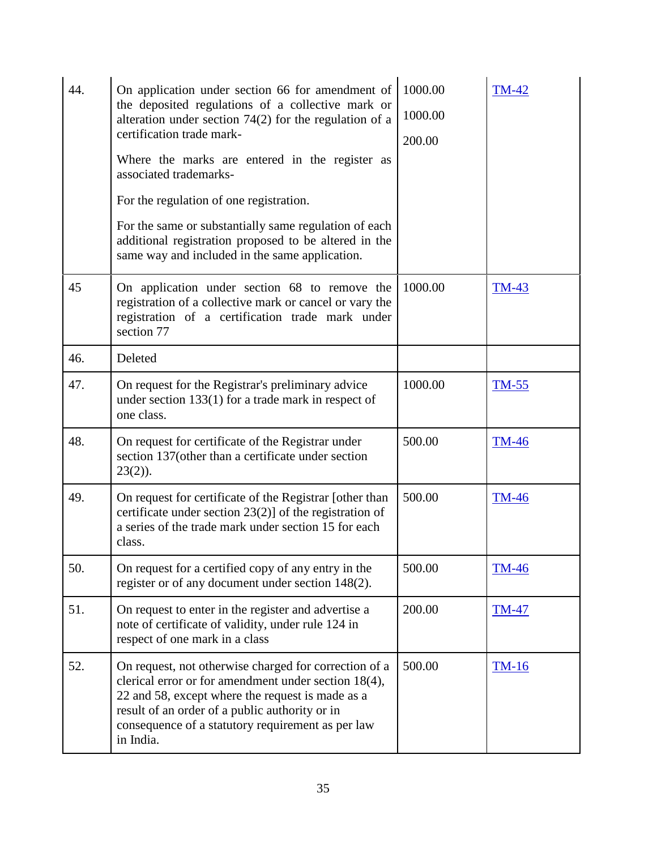| 44. | On application under section 66 for amendment of<br>the deposited regulations of a collective mark or<br>alteration under section $74(2)$ for the regulation of a<br>certification trade mark-<br>Where the marks are entered in the register as<br>associated trademarks-<br>For the regulation of one registration.<br>For the same or substantially same regulation of each<br>additional registration proposed to be altered in the | 1000.00<br>1000.00<br>200.00 | <b>TM-42</b> |
|-----|-----------------------------------------------------------------------------------------------------------------------------------------------------------------------------------------------------------------------------------------------------------------------------------------------------------------------------------------------------------------------------------------------------------------------------------------|------------------------------|--------------|
|     | same way and included in the same application.                                                                                                                                                                                                                                                                                                                                                                                          |                              |              |
| 45  | On application under section 68 to remove the<br>registration of a collective mark or cancel or vary the<br>registration of a certification trade mark under<br>section 77                                                                                                                                                                                                                                                              | 1000.00                      | <b>TM-43</b> |
| 46. | Deleted                                                                                                                                                                                                                                                                                                                                                                                                                                 |                              |              |
| 47. | On request for the Registrar's preliminary advice<br>under section $133(1)$ for a trade mark in respect of<br>one class.                                                                                                                                                                                                                                                                                                                | 1000.00                      | <b>TM-55</b> |
| 48. | On request for certificate of the Registrar under<br>section 137(other than a certificate under section<br>$23(2)$ ).                                                                                                                                                                                                                                                                                                                   | 500.00                       | <b>TM-46</b> |
| 49. | On request for certificate of the Registrar [other than<br>certificate under section $23(2)$ of the registration of<br>a series of the trade mark under section 15 for each<br>class.                                                                                                                                                                                                                                                   | 500.00                       | <b>TM-46</b> |
| 50. | On request for a certified copy of any entry in the<br>register or of any document under section 148(2).                                                                                                                                                                                                                                                                                                                                | 500.00                       | <b>TM-46</b> |
| 51. | On request to enter in the register and advertise a<br>note of certificate of validity, under rule 124 in<br>respect of one mark in a class                                                                                                                                                                                                                                                                                             | 200.00                       | <b>TM-47</b> |
| 52. | On request, not otherwise charged for correction of a<br>clerical error or for amendment under section 18(4),<br>22 and 58, except where the request is made as a<br>result of an order of a public authority or in<br>consequence of a statutory requirement as per law<br>in India.                                                                                                                                                   | 500.00                       | $TM-16$      |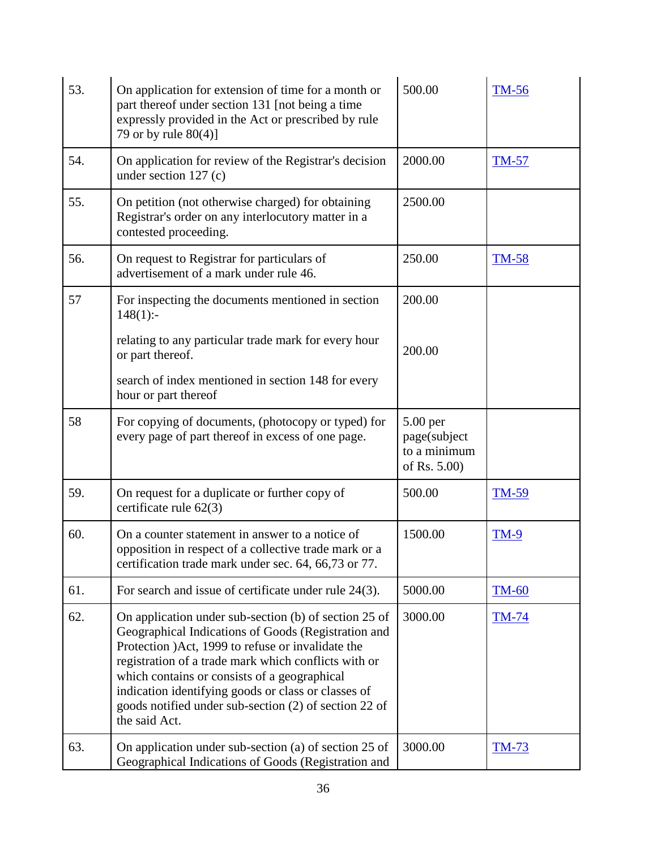| 53. | 500.00<br>On application for extension of time for a month or<br>part thereof under section 131 [not being a time<br>expressly provided in the Act or prescribed by rule<br>79 or by rule 80(4)]                                                                                                                                                                                                           |                                                            | <b>TM-56</b> |
|-----|------------------------------------------------------------------------------------------------------------------------------------------------------------------------------------------------------------------------------------------------------------------------------------------------------------------------------------------------------------------------------------------------------------|------------------------------------------------------------|--------------|
| 54. | 2000.00<br>On application for review of the Registrar's decision<br>under section $127$ (c)                                                                                                                                                                                                                                                                                                                |                                                            | <b>TM-57</b> |
| 55. | 2500.00<br>On petition (not otherwise charged) for obtaining<br>Registrar's order on any interlocutory matter in a<br>contested proceeding.                                                                                                                                                                                                                                                                |                                                            |              |
| 56. | On request to Registrar for particulars of<br>250.00<br><b>TM-58</b><br>advertisement of a mark under rule 46.                                                                                                                                                                                                                                                                                             |                                                            |              |
| 57  | For inspecting the documents mentioned in section<br>$148(1)$ :-                                                                                                                                                                                                                                                                                                                                           | 200.00                                                     |              |
|     | relating to any particular trade mark for every hour<br>or part thereof.                                                                                                                                                                                                                                                                                                                                   | 200.00                                                     |              |
|     | search of index mentioned in section 148 for every<br>hour or part thereof                                                                                                                                                                                                                                                                                                                                 |                                                            |              |
| 58  | For copying of documents, (photocopy or typed) for<br>every page of part thereof in excess of one page.                                                                                                                                                                                                                                                                                                    | $5.00$ per<br>page(subject<br>to a minimum<br>of Rs. 5.00) |              |
| 59. | On request for a duplicate or further copy of<br>certificate rule 62(3)                                                                                                                                                                                                                                                                                                                                    | 500.00                                                     | <b>TM-59</b> |
| 60. | On a counter statement in answer to a notice of<br>opposition in respect of a collective trade mark or a<br>certification trade mark under sec. 64, 66,73 or 77.                                                                                                                                                                                                                                           | 1500.00                                                    | <b>TM-9</b>  |
| 61. | For search and issue of certificate under rule $24(3)$ .                                                                                                                                                                                                                                                                                                                                                   | 5000.00                                                    | <b>TM-60</b> |
| 62. | On application under sub-section (b) of section 25 of<br>Geographical Indications of Goods (Registration and<br>Protection )Act, 1999 to refuse or invalidate the<br>registration of a trade mark which conflicts with or<br>which contains or consists of a geographical<br>indication identifying goods or class or classes of<br>goods notified under sub-section (2) of section 22 of<br>the said Act. | 3000.00                                                    | <b>TM-74</b> |
| 63. | On application under sub-section (a) of section 25 of<br>Geographical Indications of Goods (Registration and                                                                                                                                                                                                                                                                                               | 3000.00                                                    | <u>TM-73</u> |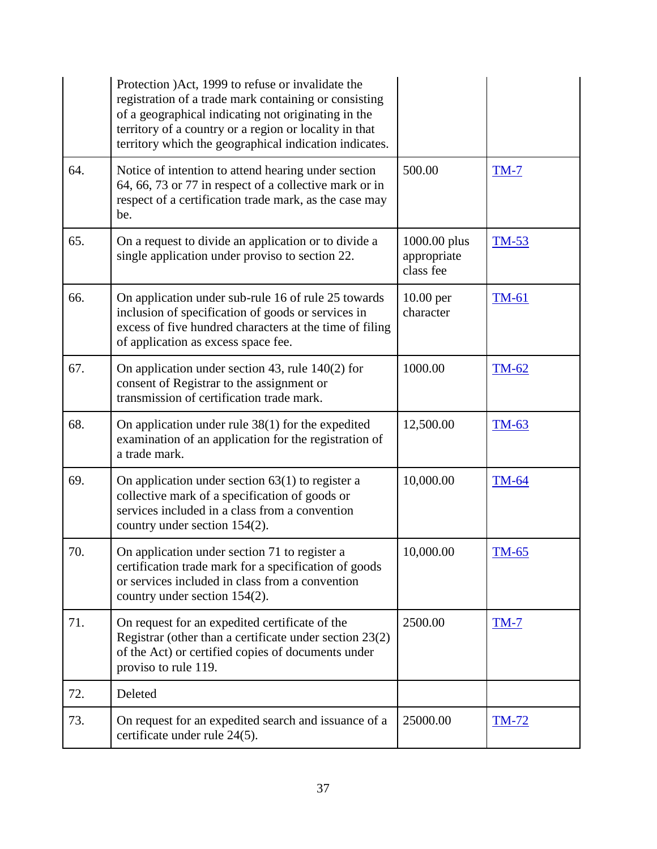|     | Protection )Act, 1999 to refuse or invalidate the<br>registration of a trade mark containing or consisting<br>of a geographical indicating not originating in the<br>territory of a country or a region or locality in that<br>territory which the geographical indication indicates. |                                          |              |
|-----|---------------------------------------------------------------------------------------------------------------------------------------------------------------------------------------------------------------------------------------------------------------------------------------|------------------------------------------|--------------|
| 64. | Notice of intention to attend hearing under section<br>64, 66, 73 or 77 in respect of a collective mark or in<br>respect of a certification trade mark, as the case may<br>be.                                                                                                        | 500.00                                   | $TM-7$       |
| 65. | On a request to divide an application or to divide a<br>single application under proviso to section 22.                                                                                                                                                                               | 1000.00 plus<br>appropriate<br>class fee | $TM-53$      |
| 66. | On application under sub-rule 16 of rule 25 towards<br>inclusion of specification of goods or services in<br>excess of five hundred characters at the time of filing<br>of application as excess space fee.                                                                           | $10.00$ per<br>character                 | <b>TM-61</b> |
| 67. | On application under section 43, rule $140(2)$ for<br>consent of Registrar to the assignment or<br>transmission of certification trade mark.                                                                                                                                          | 1000.00                                  | <b>TM-62</b> |
| 68. | On application under rule $38(1)$ for the expedited<br>examination of an application for the registration of<br>a trade mark.                                                                                                                                                         | 12,500.00                                | TM-63        |
| 69. | On application under section $63(1)$ to register a<br>collective mark of a specification of goods or<br>services included in a class from a convention<br>country under section 154(2).                                                                                               | 10,000.00                                | <b>TM-64</b> |
| 70. | On application under section 71 to register a<br>certification trade mark for a specification of goods<br>or services included in class from a convention<br>country under section 154(2).                                                                                            | 10,000.00                                | <b>TM-65</b> |
| 71. | On request for an expedited certificate of the<br>Registrar (other than a certificate under section $23(2)$ )<br>of the Act) or certified copies of documents under<br>proviso to rule 119.                                                                                           | 2500.00                                  | $TM-7$       |
| 72. | Deleted                                                                                                                                                                                                                                                                               |                                          |              |
| 73. | On request for an expedited search and issuance of a<br>certificate under rule 24(5).                                                                                                                                                                                                 | 25000.00                                 | <u>TM-72</u> |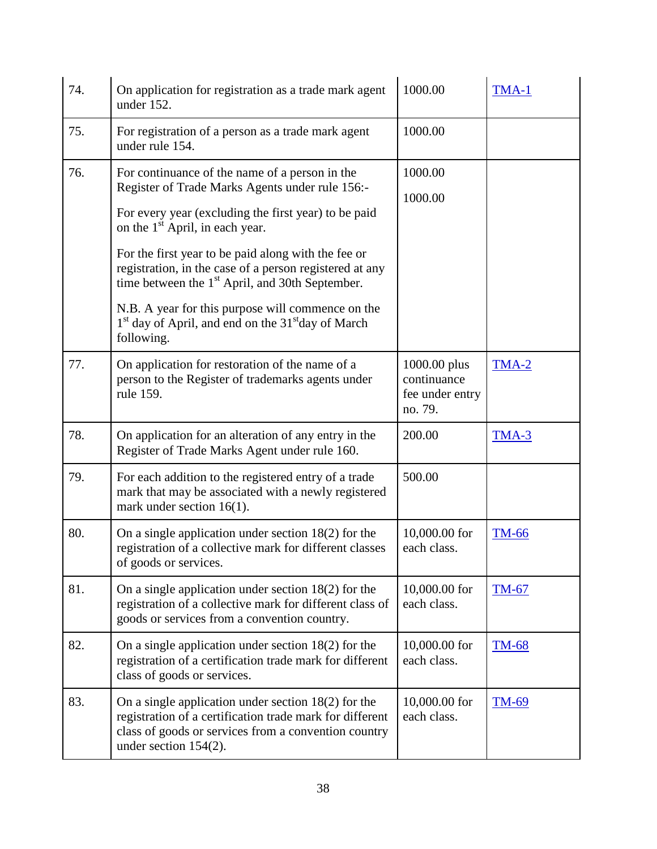| 74. | 1000.00<br>On application for registration as a trade mark agent<br>TMA-1<br>under 152.                                                                                                                                                                                                                                                                                                                                                                                                                                                    |                                                           |              |
|-----|--------------------------------------------------------------------------------------------------------------------------------------------------------------------------------------------------------------------------------------------------------------------------------------------------------------------------------------------------------------------------------------------------------------------------------------------------------------------------------------------------------------------------------------------|-----------------------------------------------------------|--------------|
| 75. | For registration of a person as a trade mark agent<br>under rule 154.                                                                                                                                                                                                                                                                                                                                                                                                                                                                      | 1000.00                                                   |              |
| 76. | For continuance of the name of a person in the<br>Register of Trade Marks Agents under rule 156:-<br>For every year (excluding the first year) to be paid<br>on the 1 <sup>st</sup> April, in each year.<br>For the first year to be paid along with the fee or<br>registration, in the case of a person registered at any<br>time between the 1 <sup>st</sup> April, and 30th September.<br>N.B. A year for this purpose will commence on the<br>1 <sup>st</sup> day of April, and end on the 31 <sup>st</sup> day of March<br>following. | 1000.00<br>1000.00                                        |              |
| 77. | On application for restoration of the name of a<br>person to the Register of trademarks agents under<br>rule 159.                                                                                                                                                                                                                                                                                                                                                                                                                          | 1000.00 plus<br>continuance<br>fee under entry<br>no. 79. | TMA-2        |
| 78. | On application for an alteration of any entry in the<br>Register of Trade Marks Agent under rule 160.                                                                                                                                                                                                                                                                                                                                                                                                                                      | 200.00                                                    | $TMA-3$      |
| 79. | For each addition to the registered entry of a trade<br>mark that may be associated with a newly registered<br>mark under section $16(1)$ .                                                                                                                                                                                                                                                                                                                                                                                                | 500.00                                                    |              |
| 80. | On a single application under section $18(2)$ for the<br>registration of a collective mark for different classes<br>of goods or services.                                                                                                                                                                                                                                                                                                                                                                                                  | 10,000.00 for<br>each class.                              | <b>TM-66</b> |
| 81. | On a single application under section $18(2)$ for the<br>registration of a collective mark for different class of<br>goods or services from a convention country.                                                                                                                                                                                                                                                                                                                                                                          | 10,000.00 for<br>each class.                              | $TM-67$      |
| 82. | On a single application under section $18(2)$ for the<br>registration of a certification trade mark for different<br>class of goods or services.                                                                                                                                                                                                                                                                                                                                                                                           | 10,000.00 for<br>each class.                              | <b>TM-68</b> |
| 83. | On a single application under section $18(2)$ for the<br>registration of a certification trade mark for different<br>class of goods or services from a convention country<br>under section 154(2).                                                                                                                                                                                                                                                                                                                                         | 10,000.00 for<br>each class.                              | <b>TM-69</b> |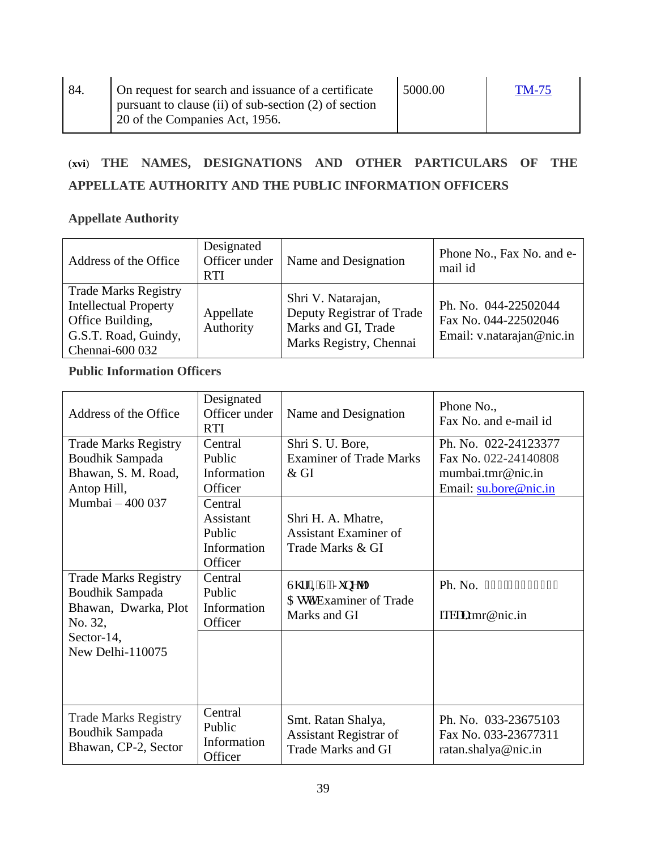# (**xvi**) **THE NAMES, DESIGNATIONS AND OTHER PARTICULARS OF THE APPELLATE AUTHORITY AND THE PUBLIC INFORMATION OFFICERS**

### **Appellate Authority**

| Address of the Office                                                                                                      | Designated<br>Officer under<br><b>RTI</b> | Name and Designation                                                                              | Phone No., Fax No. and e-<br>mail id                                      |
|----------------------------------------------------------------------------------------------------------------------------|-------------------------------------------|---------------------------------------------------------------------------------------------------|---------------------------------------------------------------------------|
| <b>Trade Marks Registry</b><br><b>Intellectual Property</b><br>Office Building,<br>G.S.T. Road, Guindy,<br>Chennai-600 032 | Appellate<br>Authority                    | Shri V. Natarajan,<br>Deputy Registrar of Trade<br>Marks and GI, Trade<br>Marks Registry, Chennai | Ph. No. 044-22502044<br>Fax No. 044-22502046<br>Email: v.natarajan@nic.in |

### **Public Information Officers**

| Address of the Office                                                                | Designated<br>Officer under<br><b>RTI</b>                | Name and Designation                                                             | Phone No.,<br>Fax No. and e-mail id                                                        |
|--------------------------------------------------------------------------------------|----------------------------------------------------------|----------------------------------------------------------------------------------|--------------------------------------------------------------------------------------------|
| <b>Trade Marks Registry</b><br>Boudhik Sampada<br>Bhawan, S. M. Road,<br>Antop Hill, | Central<br>Public<br>Information<br>Officer              | Shri S. U. Bore,<br><b>Examiner of Trade Marks</b><br>$&$ GI                     | Ph. No. 022-24123377<br>Fax No. 022-24140808<br>mumbai.tmr@nic.in<br>Email: su.bore@nic.in |
| Mumbai - 400 037                                                                     | Central<br>Assistant<br>Public<br>Information<br>Officer | Shri H. A. Mhatre,<br>Assistant Examiner of<br>Trade Marks & GI                  |                                                                                            |
| <b>Trade Marks Registry</b><br>Boudhik Sampada<br>Bhawan, Dwarka, Plot<br>No. 32,    | Central<br>Public<br>Information<br>Officer              | Uj tk'KUULwpglc<br>Cuuy0Examiner of Trade<br>Marks and GI                        | Ph. No. 233/4: 2546; 6<br>ks dcntmr@nic.in                                                 |
| Sector-14,<br>New Delhi-110075                                                       |                                                          |                                                                                  |                                                                                            |
| <b>Trade Marks Registry</b><br>Boudhik Sampada<br>Bhawan, CP-2, Sector               | Central<br>Public<br>Information<br>Officer              | Smt. Ratan Shalya,<br><b>Assistant Registrar of</b><br><b>Trade Marks and GI</b> | Ph. No. 033-23675103<br>Fax No. 033-23677311<br>ratan.shalya@nic.in                        |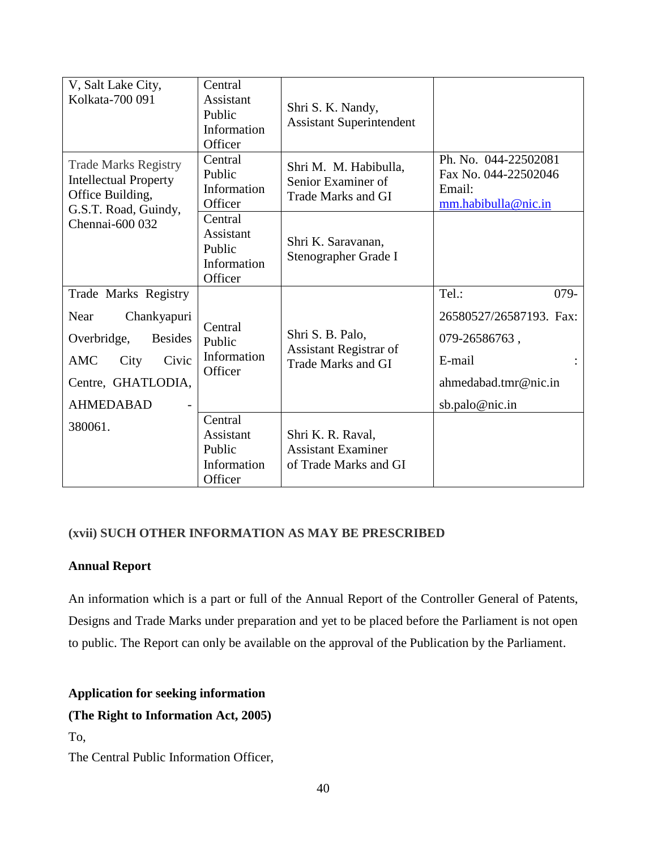| V, Salt Lake City,<br>Kolkata-700 091                                                                                                          | Central<br>Assistant<br>Public<br>Information<br>Officer | Shri S. K. Nandy,<br><b>Assistant Superintendent</b>                           |                                                                                                                  |
|------------------------------------------------------------------------------------------------------------------------------------------------|----------------------------------------------------------|--------------------------------------------------------------------------------|------------------------------------------------------------------------------------------------------------------|
| <b>Trade Marks Registry</b><br><b>Intellectual Property</b><br>Office Building,<br>G.S.T. Road, Guindy,                                        | Central<br>Public<br>Information<br>Officer              | Shri M. M. Habibulla,<br>Senior Examiner of<br><b>Trade Marks and GI</b>       | Ph. No. 044-22502081<br>Fax No. 044-22502046<br>Email:<br>mm.habibulla@nic.in                                    |
| Chennai-600 032                                                                                                                                | Central<br>Assistant<br>Public<br>Information<br>Officer | Shri K. Saravanan,<br>Stenographer Grade I                                     |                                                                                                                  |
| Trade Marks Registry<br>Near<br>Chankyapuri<br>Overbridge,<br><b>Besides</b><br>Civic<br>AMC<br>City<br>Centre, GHATLODIA,<br><b>AHMEDABAD</b> | Central<br>Public<br>Information<br>Officer              | Shri S. B. Palo,<br><b>Assistant Registrar of</b><br><b>Trade Marks and GI</b> | Tel.:<br>$079 -$<br>26580527/26587193. Fax:<br>079-26586763,<br>E-mail<br>ahmedabad.tmr@nic.in<br>sb.palo@nic.in |
| 380061.                                                                                                                                        | Central<br>Assistant<br>Public<br>Information<br>Officer | Shri K. R. Raval,<br><b>Assistant Examiner</b><br>of Trade Marks and GI        |                                                                                                                  |

### **(xvii) SUCH OTHER INFORMATION AS MAY BE PRESCRIBED**

### **Annual Report**

An information which is a part or full of the Annual Report of the Controller General of Patents, Designs and Trade Marks under preparation and yet to be placed before the Parliament is not open to public. The Report can only be available on the approval of the Publication by the Parliament.

### **Application for seeking information**

### **(The Right to Information Act, 2005)**

### To,

The Central Public Information Officer,